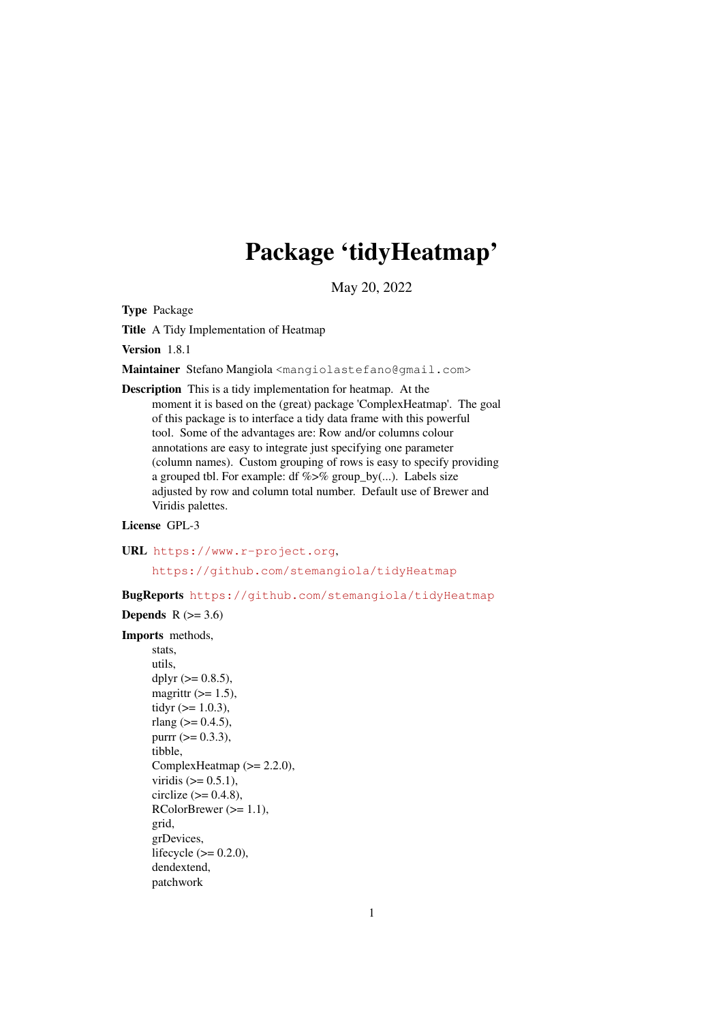# Package 'tidyHeatmap'

May 20, 2022

Type Package

Title A Tidy Implementation of Heatmap

Version 1.8.1

Maintainer Stefano Mangiola <mangiolastefano@gmail.com>

Description This is a tidy implementation for heatmap. At the moment it is based on the (great) package 'ComplexHeatmap'. The goal of this package is to interface a tidy data frame with this powerful tool. Some of the advantages are: Row and/or columns colour annotations are easy to integrate just specifying one parameter (column names). Custom grouping of rows is easy to specify providing a grouped tbl. For example: df  $\%$  >% group\_by(...). Labels size adjusted by row and column total number. Default use of Brewer and Viridis palettes.

License GPL-3

URL <https://www.r-project.org>, <https://github.com/stemangiola/tidyHeatmap>

BugReports <https://github.com/stemangiola/tidyHeatmap>

Depends  $R$  ( $>= 3.6$ )

### Imports methods,

```
stats,
utils,
dplyr (>= 0.8.5),
magrittr (>= 1.5),
tidyr (>= 1.0.3),
rlang (> = 0.4.5),
purr (= 0.3.3),tibble,
ComplexHeatmap (>= 2.2.0),
viridis (>= 0.5.1),
circlize (>= 0.4.8),
RColorBrewer (>= 1.1),
grid,
grDevices,
lifecycle (>= 0.2.0),
dendextend,
patchwork
```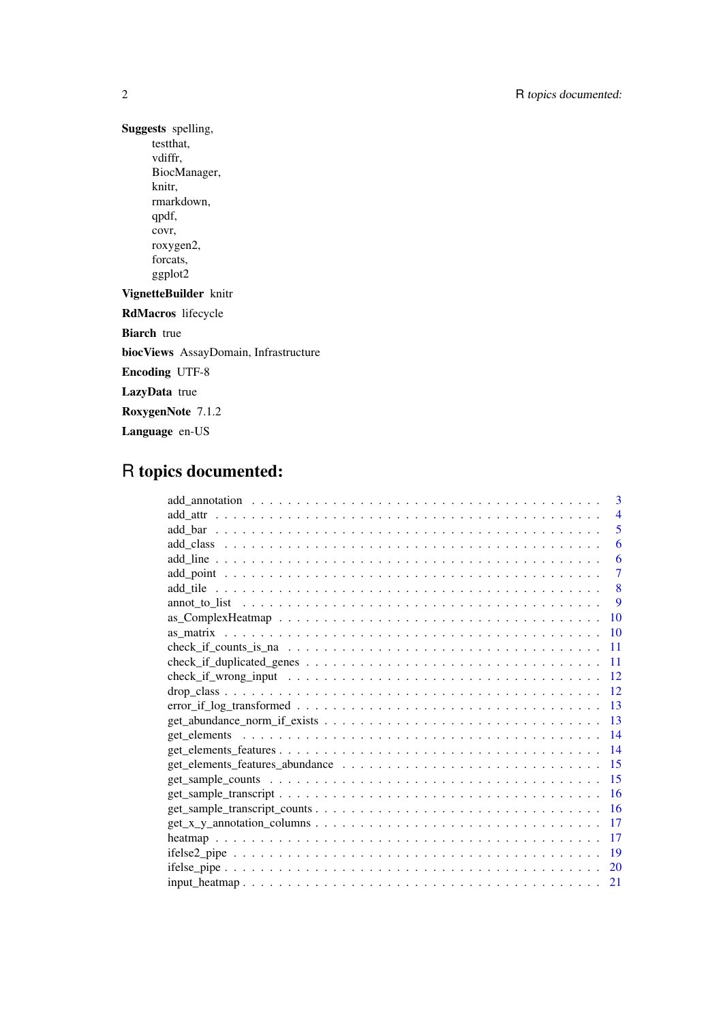Suggests spelling, testthat, vdiffr, BiocManager, knitr, rmarkdown, qpdf, covr, roxygen2, forcats, ggplot2 VignetteBuilder knitr RdMacros lifecycle Biarch true biocViews AssayDomain, Infrastructure Encoding UTF-8 LazyData true RoxygenNote 7.1.2 Language en-US

## R topics documented:

| 3              |
|----------------|
| $\overline{4}$ |
| 5              |
| 6              |
| 6              |
| 7              |
| 8              |
| 9              |
| 10             |
| 10             |
| 11             |
| 11             |
| 12             |
| 12             |
| 13             |
| 13             |
| 14             |
| 14             |
| 15             |
| 15             |
| 16             |
| 16             |
| 17             |
| 17             |
| 19             |
| 20             |
| 21             |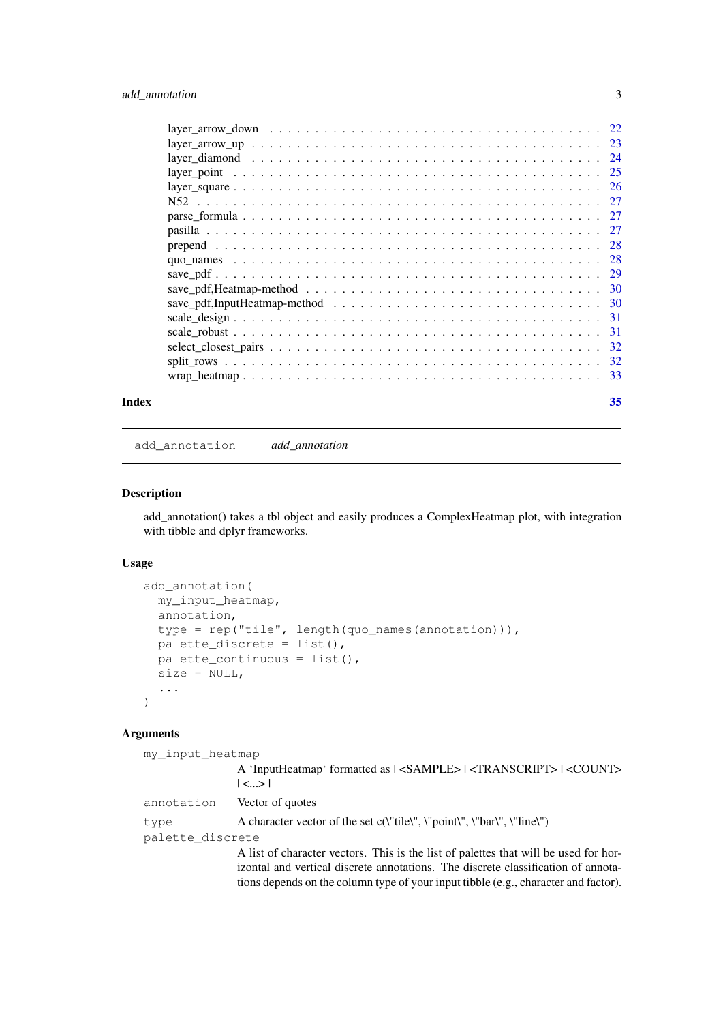### <span id="page-2-0"></span>add\_annotation 3

| Index | 35 |
|-------|----|

add\_annotation *add\_annotation*

### Description

add\_annotation() takes a tbl object and easily produces a ComplexHeatmap plot, with integration with tibble and dplyr frameworks.

#### Usage

```
add_annotation(
  my_input_heatmap,
  annotation,
  type = rep("tile", length(quo_names(annotation))),
  palette_discrete = list(),
  palette_continuous = list(),
  size = NULL,
  ...
)
```
### Arguments

| my_input_heatmap |                                                                                                                                                                           |
|------------------|---------------------------------------------------------------------------------------------------------------------------------------------------------------------------|
|                  | A 'InputHeatmap' formatted as $ $ <sample> <math> </math> <transcript> <math> </math> <count><br/> <sub>~</sub>&gt; </count></transcript></sample>                        |
| annotation       | Vector of quotes                                                                                                                                                          |
| type             | A character vector of the set $c('title'', 'point'', '"bar'', '"line'')$                                                                                                  |
| palette discrete |                                                                                                                                                                           |
|                  | A list of character vectors. This is the list of palettes that will be used for hor-<br>izontal and vertical discrete annotations. The discrete classification of annota- |
|                  | tions depends on the column type of your input tibble (e.g., character and factor).                                                                                       |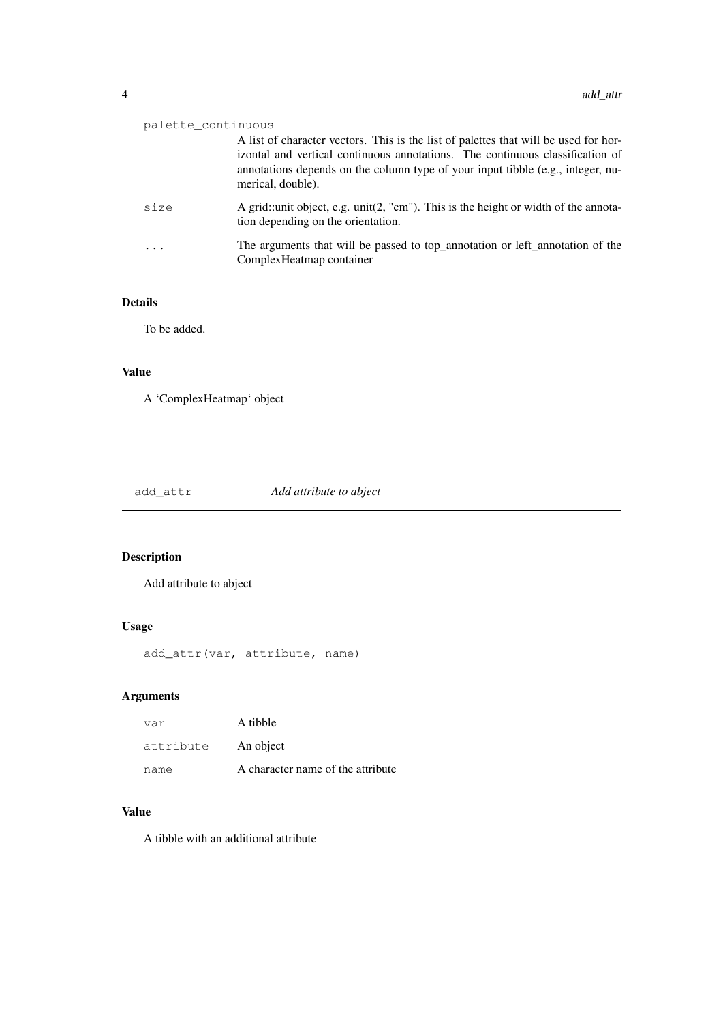<span id="page-3-0"></span>

| palette_continuous |                                                                                                                                                                                                                                                                               |
|--------------------|-------------------------------------------------------------------------------------------------------------------------------------------------------------------------------------------------------------------------------------------------------------------------------|
|                    | A list of character vectors. This is the list of palettes that will be used for hor-<br>izontal and vertical continuous annotations. The continuous classification of<br>annotations depends on the column type of your input tibble (e.g., integer, nu-<br>merical, double). |
| size               | A grid::unit object, e.g. unit(2, "cm"). This is the height or width of the annota-<br>tion depending on the orientation.                                                                                                                                                     |
|                    | The arguments that will be passed to top_annotation or left_annotation of the<br>ComplexHeatmap container                                                                                                                                                                     |

### Details

To be added.

### Value

A 'ComplexHeatmap' object

add\_attr *Add attribute to abject*

### Description

Add attribute to abject

### Usage

```
add_attr(var, attribute, name)
```
### Arguments

| var       | A tibble                          |
|-----------|-----------------------------------|
| attribute | An object                         |
| name      | A character name of the attribute |

### Value

A tibble with an additional attribute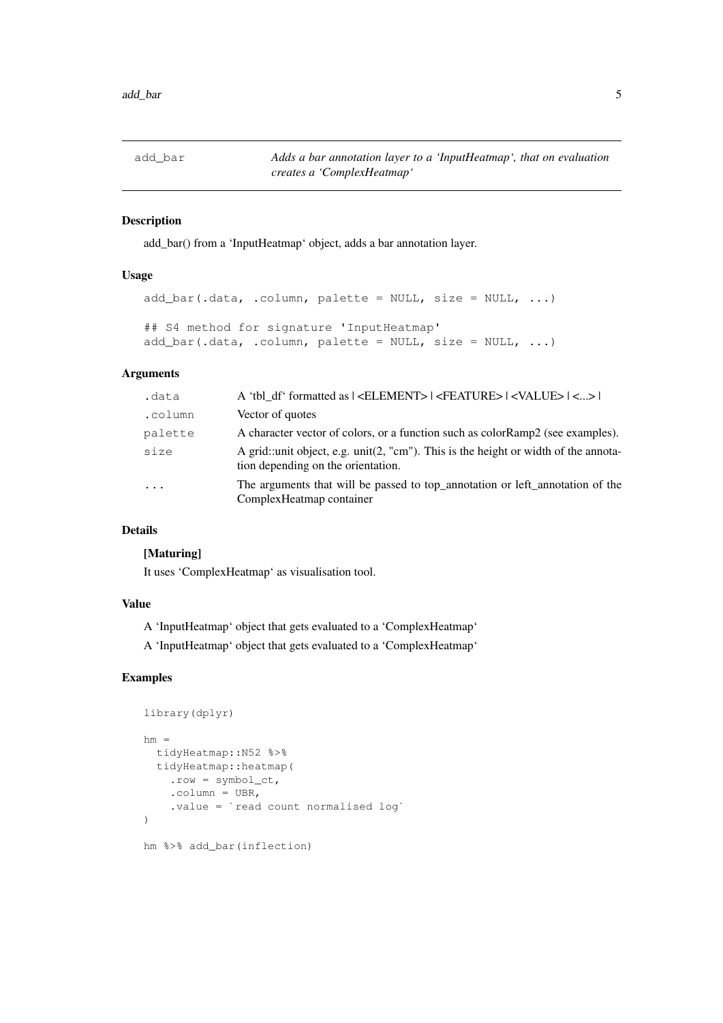<span id="page-4-0"></span>add\_bar *Adds a bar annotation layer to a 'InputHeatmap', that on evaluation creates a 'ComplexHeatmap'*

### Description

add\_bar() from a 'InputHeatmap' object, adds a bar annotation layer.

#### Usage

```
add\_bar(.data, .column, platete = NULL, size = NULL, ...)## S4 method for signature 'InputHeatmap'
add_bar(.data, .column, palette = NULL, size = NULL, ...)
```
### Arguments

| .data      | A 'tbl df' formatted as   <element>   <feature>   <value>   &lt;&gt;  </value></feature></element>                           |
|------------|------------------------------------------------------------------------------------------------------------------------------|
| .column    | Vector of quotes                                                                                                             |
| palette    | A character vector of colors, or a function such as colorRamp2 (see examples).                                               |
| size       | A grid::unit object, e.g. $unit(2, "cm")$ . This is the height or width of the annota-<br>tion depending on the orientation. |
| $\ddots$ . | The arguments that will be passed to top_annotation or left_annotation of the<br>ComplexHeatmap container                    |

### Details

### [Maturing]

It uses 'ComplexHeatmap' as visualisation tool.

### Value

A 'InputHeatmap' object that gets evaluated to a 'ComplexHeatmap'

A 'InputHeatmap' object that gets evaluated to a 'ComplexHeatmap'

```
library(dplyr)
hm =tidyHeatmap::N52 %>%
  tidyHeatmap::heatmap(
    .row = symbol_ct,
    .column = UBR,
    .value = `read count normalised log`
\lambdahm %>% add_bar(inflection)
```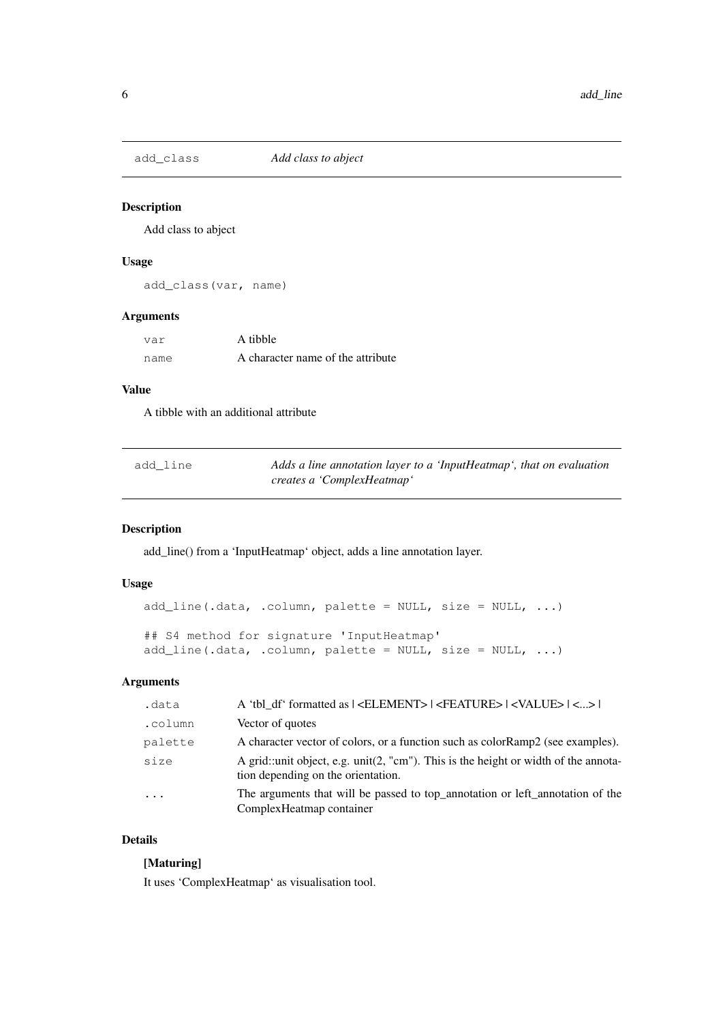<span id="page-5-0"></span>

Add class to abject

### Usage

add\_class(var, name)

### Arguments

| var  | A tibble                          |
|------|-----------------------------------|
| name | A character name of the attribute |

### Value

A tibble with an additional attribute

| add line | Adds a line annotation layer to a 'InputHeatmap', that on evaluation |
|----------|----------------------------------------------------------------------|
|          | creates a 'ComplexHeatmap'                                           |

### Description

add\_line() from a 'InputHeatmap' object, adds a line annotation layer.

### Usage

```
add_line(.data, .column, palette = NULL, size = NULL, ...)
## S4 method for signature 'InputHeatmap'
add_line(.data, .column, palette = NULL, size = NULL, ...)
```
### Arguments

| .data                   | A 'tbl df' formatted as   <element>   <feature>   <value>   &lt;&gt;  </value></feature></element>                        |
|-------------------------|---------------------------------------------------------------------------------------------------------------------------|
| .column                 | Vector of quotes                                                                                                          |
| palette                 | A character vector of colors, or a function such as color Ramp2 (see examples).                                           |
| size                    | A grid::unit object, e.g. unit(2, "cm"). This is the height or width of the annota-<br>tion depending on the orientation. |
| $\cdot$ $\cdot$ $\cdot$ | The arguments that will be passed to top_annotation or left_annotation of the<br>ComplexHeatmap container                 |

### Details

### [Maturing]

It uses 'ComplexHeatmap' as visualisation tool.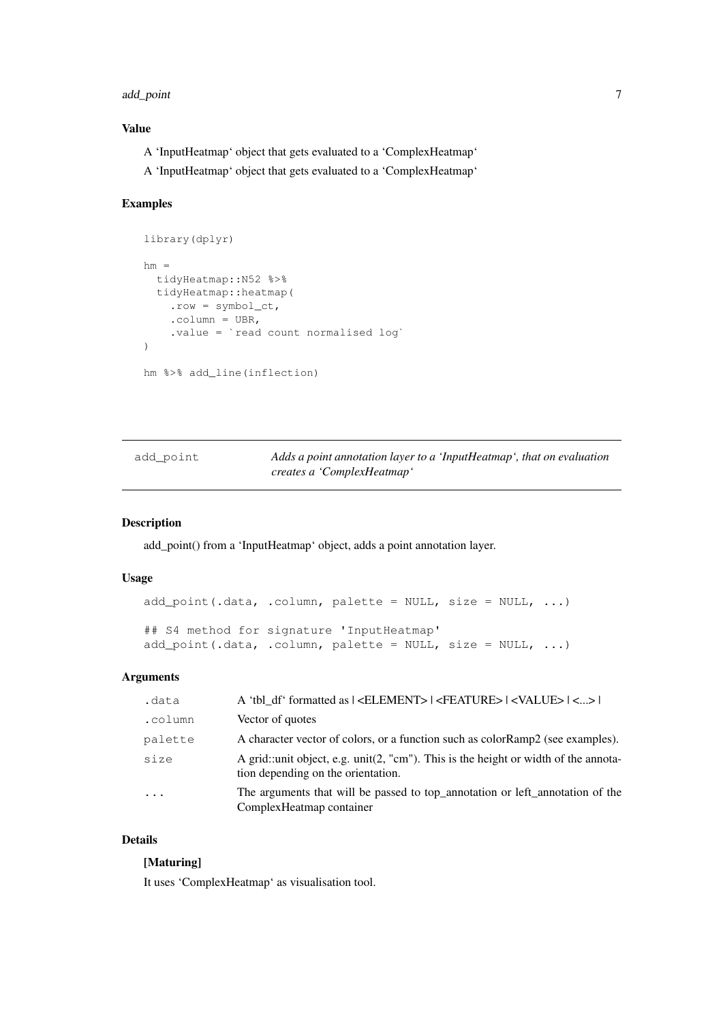#### <span id="page-6-0"></span>add\_point 7

### Value

A 'InputHeatmap' object that gets evaluated to a 'ComplexHeatmap'

A 'InputHeatmap' object that gets evaluated to a 'ComplexHeatmap'

### Examples

```
library(dplyr)
hm =tidyHeatmap::N52 %>%
  tidyHeatmap::heatmap(
    .row = symbol_ct,
    .column = UBR,
    .value = `read count normalised log`
\lambdahm %>% add_line(inflection)
```

| add point | Adds a point annotation layer to a 'InputHeatmap', that on evaluation |
|-----------|-----------------------------------------------------------------------|
|           | creates a 'ComplexHeatmap'                                            |

### Description

add\_point() from a 'InputHeatmap' object, adds a point annotation layer.

### Usage

```
add_point(.data, .column, palette = NULL, size = NULL, ...)
## S4 method for signature 'InputHeatmap'
add_point(.data, .column, palette = NULL, size = NULL, ...)
```
#### Arguments

| .data   | A 'tbl df' formatted as $ $ <element> <math> </math> <feature> <math> </math> <value> <math> </math> &lt;&gt; <math> </math></value></feature></element> |
|---------|----------------------------------------------------------------------------------------------------------------------------------------------------------|
| .column | Vector of quotes                                                                                                                                         |
| palette | A character vector of colors, or a function such as color Ramp2 (see examples).                                                                          |
| size    | A grid::unit object, e.g. $unit(2, "cm")$ . This is the height or width of the annota-<br>tion depending on the orientation.                             |
| $\cdot$ | The arguments that will be passed to top_annotation or left_annotation of the<br>Complex Heatmap container                                               |

### Details

#### [Maturing]

It uses 'ComplexHeatmap' as visualisation tool.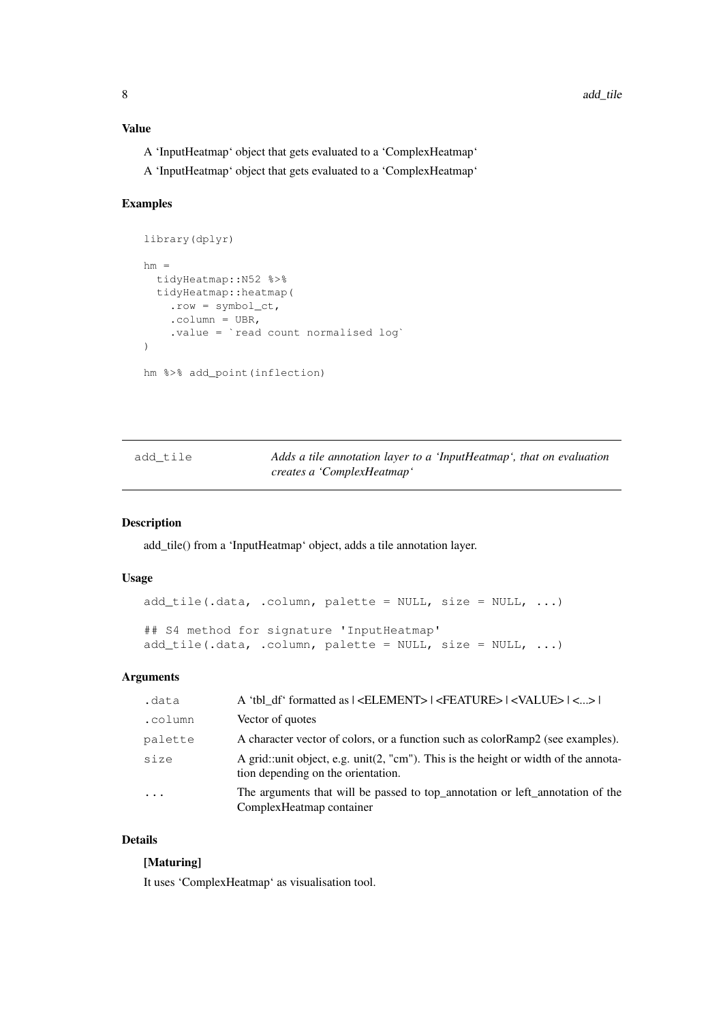### <span id="page-7-0"></span>Value

- A 'InputHeatmap' object that gets evaluated to a 'ComplexHeatmap'
- A 'InputHeatmap' object that gets evaluated to a 'ComplexHeatmap'

#### Examples

```
library(dplyr)
hm =tidyHeatmap::N52 %>%
  tidyHeatmap::heatmap(
    .row = symbol_ct,
    .column = UBR,
    .value = `read count normalised log`
\lambdahm %>% add_point(inflection)
```

| add tile | Adds a tile annotation layer to a 'InputHeatmap', that on evaluation |
|----------|----------------------------------------------------------------------|
|          | creates a 'ComplexHeatmap'                                           |

### Description

add\_tile() from a 'InputHeatmap' object, adds a tile annotation layer.

### Usage

```
add_tile(.data, .column, palette = NULL, size = NULL, ...)
## S4 method for signature 'InputHeatmap'
add_tile(.data, .column, palette = NULL, size = NULL, ...)
```
#### Arguments

| .data   | A 'tbl df' formatted as $ $ <element> <math> </math> <feature> <math> </math> <value> <math> </math> &lt;&gt; <math> </math></value></feature></element> |
|---------|----------------------------------------------------------------------------------------------------------------------------------------------------------|
| .column | Vector of quotes                                                                                                                                         |
| palette | A character vector of colors, or a function such as color Ramp2 (see examples).                                                                          |
| size    | A grid::unit object, e.g. $unit(2, "cm")$ . This is the height or width of the annota-<br>tion depending on the orientation.                             |
| $\cdot$ | The arguments that will be passed to top_annotation or left_annotation of the<br>Complex Heatmap container                                               |

### Details

#### [Maturing]

It uses 'ComplexHeatmap' as visualisation tool.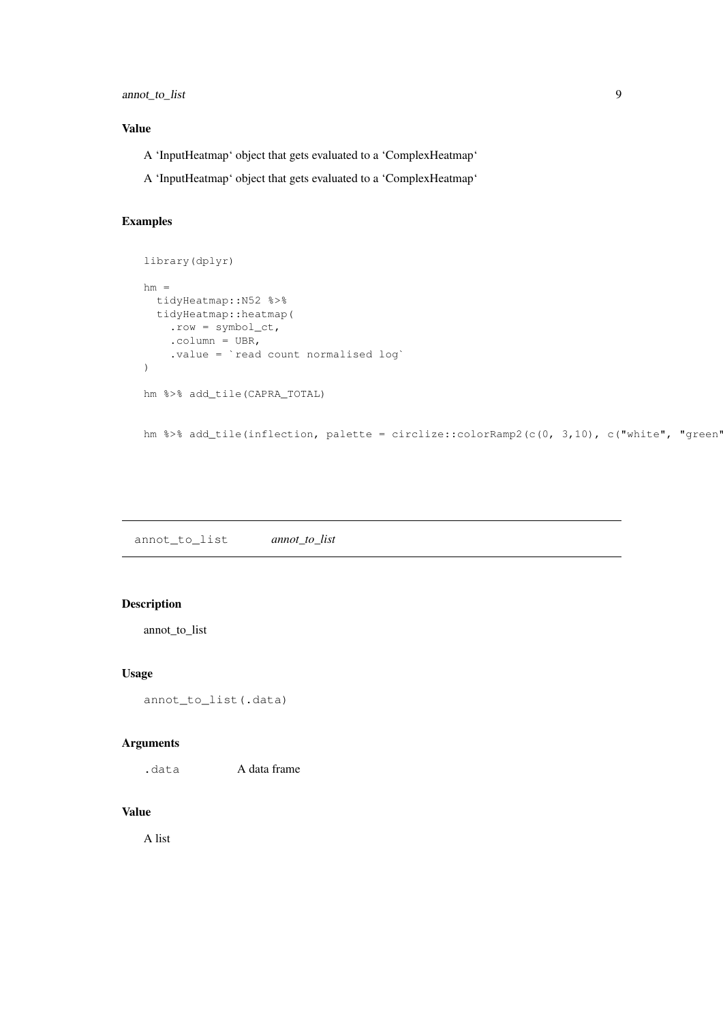### <span id="page-8-0"></span>annot\_to\_list 9

#### Value

- A 'InputHeatmap' object that gets evaluated to a 'ComplexHeatmap'
- A 'InputHeatmap' object that gets evaluated to a 'ComplexHeatmap'

### Examples

```
library(dplyr)
hm =tidyHeatmap::N52 %>%
 tidyHeatmap::heatmap(
    .row = symbol_ct,
    .column = UBR,
    .value = `read count normalised log`
)
hm %>% add_tile(CAPRA_TOTAL)
hm %>% add_tile(inflection, palette = circlize::colorRamp2(c(0, 3,10), c("white", "green'
```
annot\_to\_list *annot\_to\_list*

### Description

annot\_to\_list

### Usage

```
annot_to_list(.data)
```
#### Arguments

.data <br> **A** data frame

### Value

A list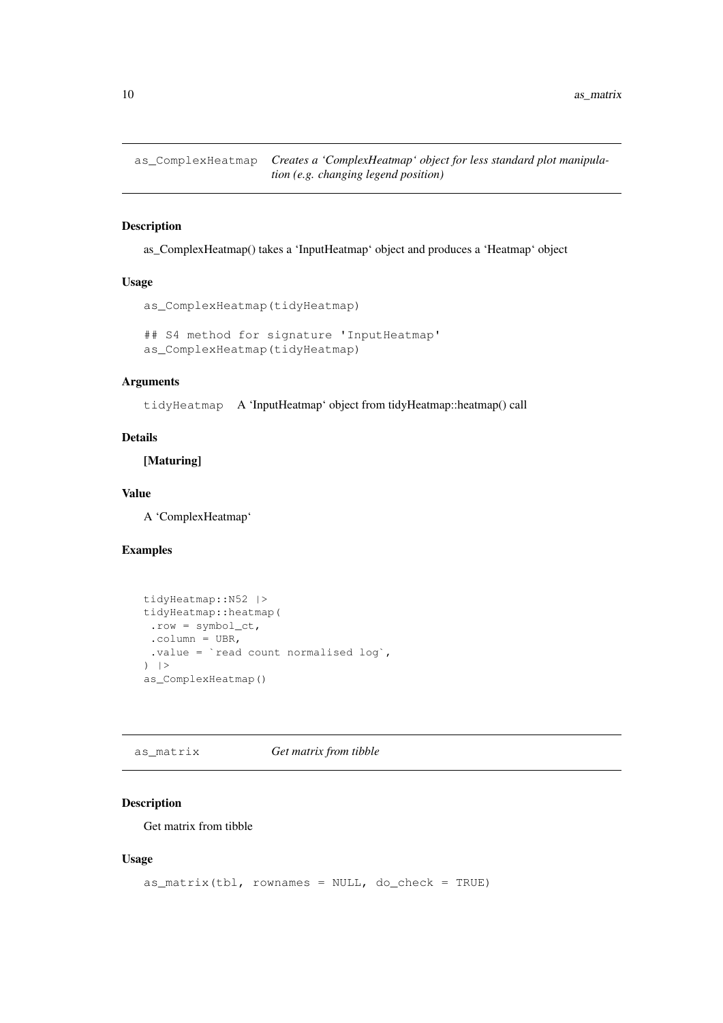<span id="page-9-0"></span>as\_ComplexHeatmap *Creates a 'ComplexHeatmap' object for less standard plot manipulation (e.g. changing legend position)*

### Description

as\_ComplexHeatmap() takes a 'InputHeatmap' object and produces a 'Heatmap' object

#### Usage

```
as_ComplexHeatmap(tidyHeatmap)
```

```
## S4 method for signature 'InputHeatmap'
as_ComplexHeatmap(tidyHeatmap)
```
#### Arguments

tidyHeatmap A 'InputHeatmap' object from tidyHeatmap::heatmap() call

### Details

[Maturing]

#### Value

A 'ComplexHeatmap'

### Examples

```
tidyHeatmap::N52 |>
tidyHeatmap::heatmap(
 .row = symbol_ct,
 .column = UBR,
 .value = `read count normalised log`,
|>as_ComplexHeatmap()
```
as\_matrix *Get matrix from tibble*

#### Description

Get matrix from tibble

#### Usage

```
as_matrix(tbl, rownames = NULL, do_check = TRUE)
```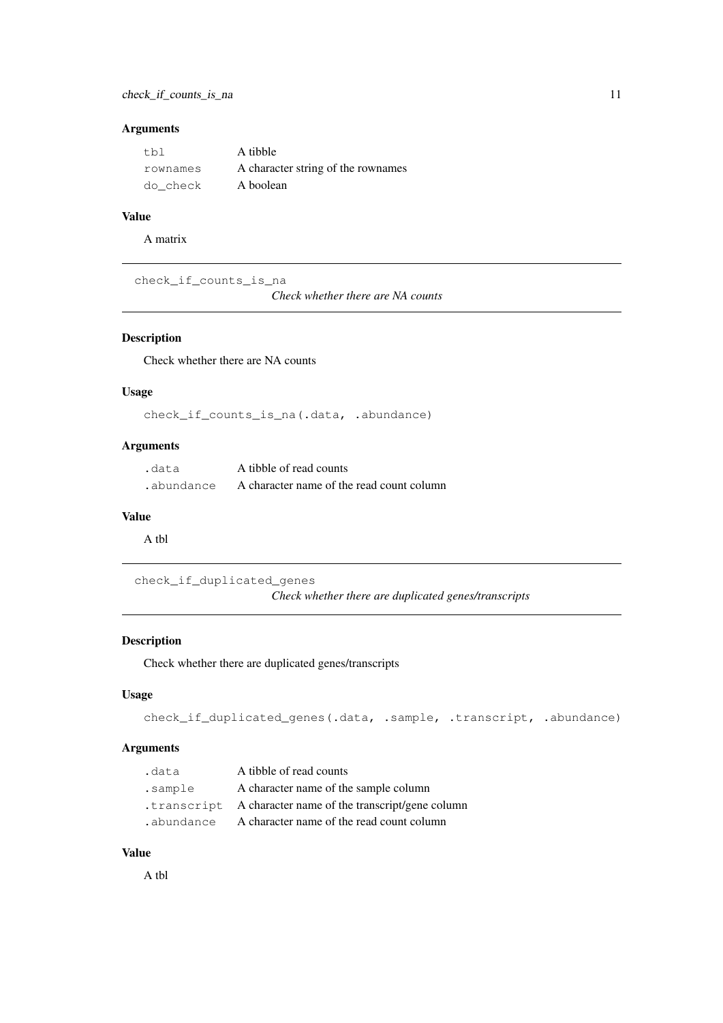### <span id="page-10-0"></span>check\_if\_counts\_is\_na 11

### Arguments

| t.bl     | A tibble                           |
|----------|------------------------------------|
| rownames | A character string of the rownames |
| do check | A boolean                          |

### Value

A matrix

check\_if\_counts\_is\_na

*Check whether there are NA counts*

### Description

Check whether there are NA counts

### Usage

check\_if\_counts\_is\_na(.data, .abundance)

### Arguments

| .data      | A tibble of read counts                   |
|------------|-------------------------------------------|
| .abundance | A character name of the read count column |

### Value

A tbl

check\_if\_duplicated\_genes *Check whether there are duplicated genes/transcripts*

### Description

Check whether there are duplicated genes/transcripts

### Usage

```
check_if_duplicated_genes(.data, .sample, .transcript, .abundance)
```
### Arguments

| .data      | A tibble of read counts                                    |
|------------|------------------------------------------------------------|
| .sample    | A character name of the sample column                      |
|            | .transcript A character name of the transcript/gene column |
| .abundance | A character name of the read count column                  |

### Value

A tbl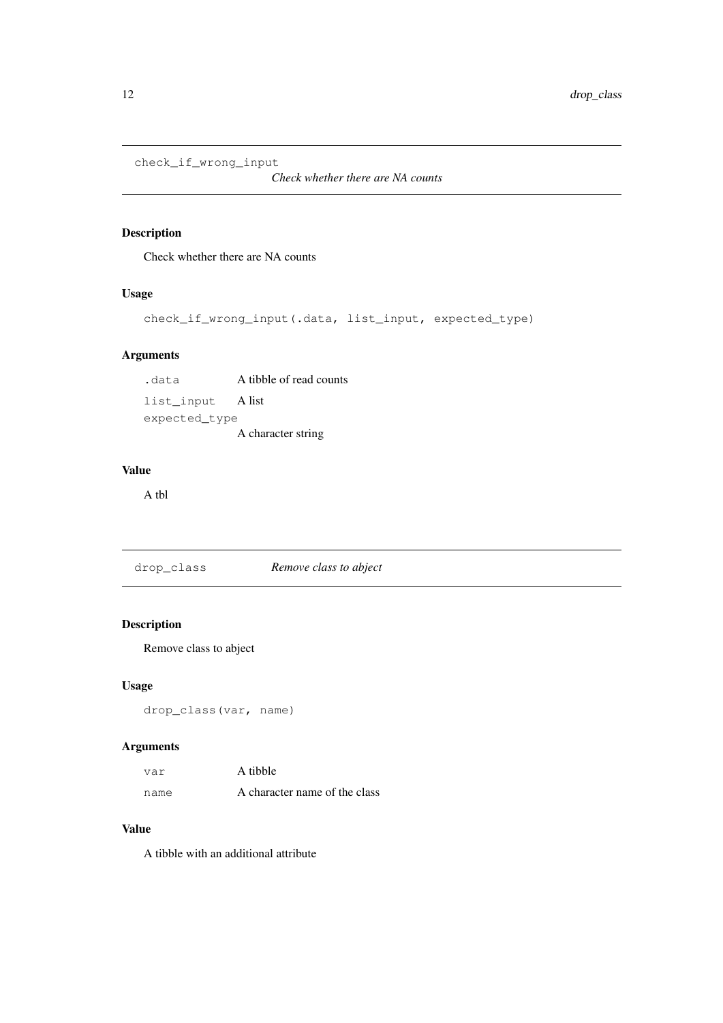```
check_if_wrong_input
```
*Check whether there are NA counts*

### Description

Check whether there are NA counts

#### Usage

```
check_if_wrong_input(.data, list_input, expected_type)
```
### Arguments

.data A tibble of read counts list\_input A list expected\_type A character string

#### Value

A tbl

drop\_class *Remove class to abject*

### Description

Remove class to abject

### Usage

```
drop_class(var, name)
```
### Arguments

| var  | A tibble                      |
|------|-------------------------------|
| name | A character name of the class |

#### Value

A tibble with an additional attribute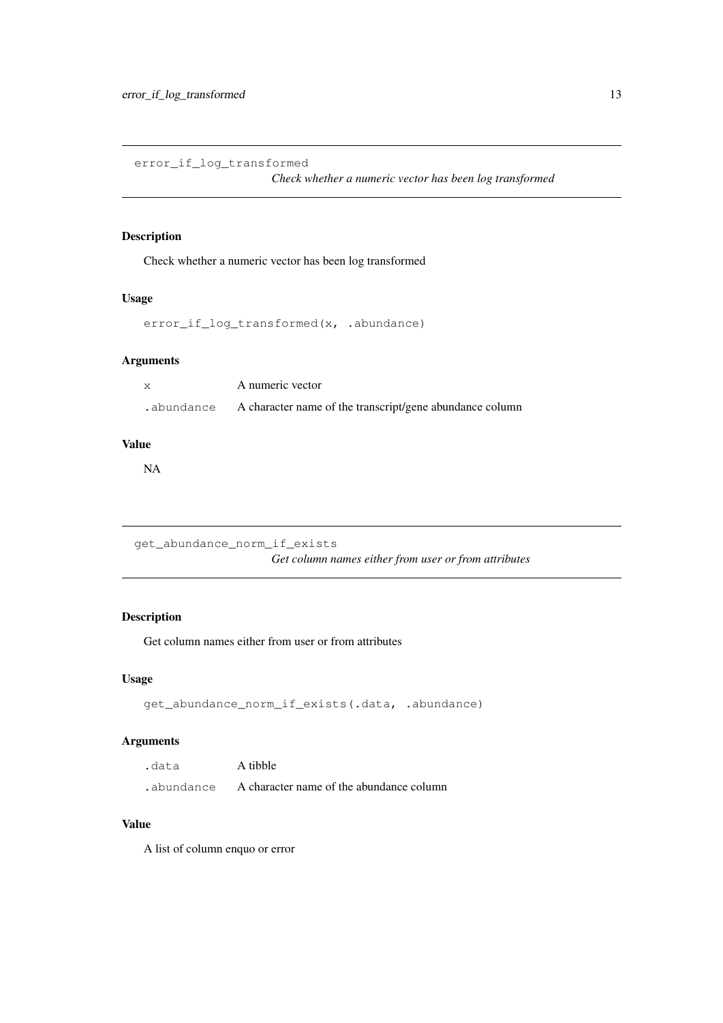<span id="page-12-0"></span>error\_if\_log\_transformed

*Check whether a numeric vector has been log transformed*

### Description

Check whether a numeric vector has been log transformed

### Usage

```
error_if_log_transformed(x, .abundance)
```
### Arguments

| X          | A numeric vector                                         |
|------------|----------------------------------------------------------|
| .abundance | A character name of the transcript/gene abundance column |

#### Value

NA

```
get_abundance_norm_if_exists
                       Get column names either from user or from attributes
```
### Description

Get column names either from user or from attributes

### Usage

```
get_abundance_norm_if_exists(.data, .abundance)
```
### Arguments

| .data      | A tibble                                 |
|------------|------------------------------------------|
| .abundance | A character name of the abundance column |

#### Value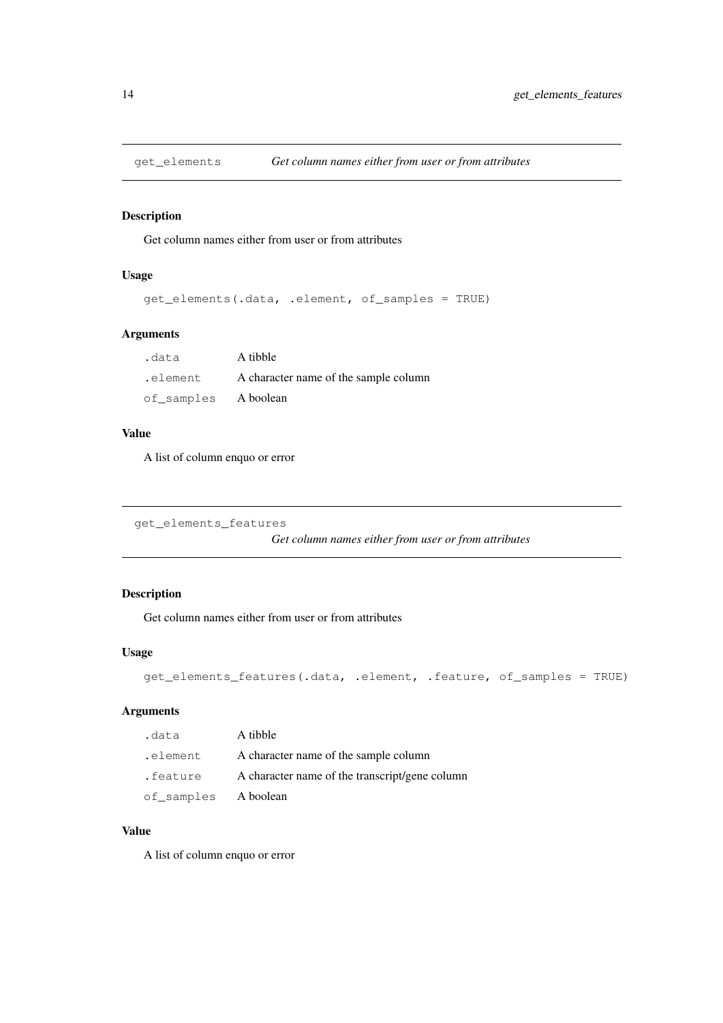<span id="page-13-0"></span>

Get column names either from user or from attributes

#### Usage

```
get_elements(.data, .element, of_samples = TRUE)
```
### Arguments

| .data               | A tibble                              |
|---------------------|---------------------------------------|
| .element            | A character name of the sample column |
| of samples Aboolean |                                       |

### Value

A list of column enquo or error

```
get_elements_features
```
*Get column names either from user or from attributes*

### Description

Get column names either from user or from attributes

### Usage

```
get_elements_features(.data, .element, .feature, of_samples = TRUE)
```
### Arguments

| .data               | A tibble                                       |
|---------------------|------------------------------------------------|
| .element            | A character name of the sample column          |
| .feature            | A character name of the transcript/gene column |
| of_samples Aboolean |                                                |

### Value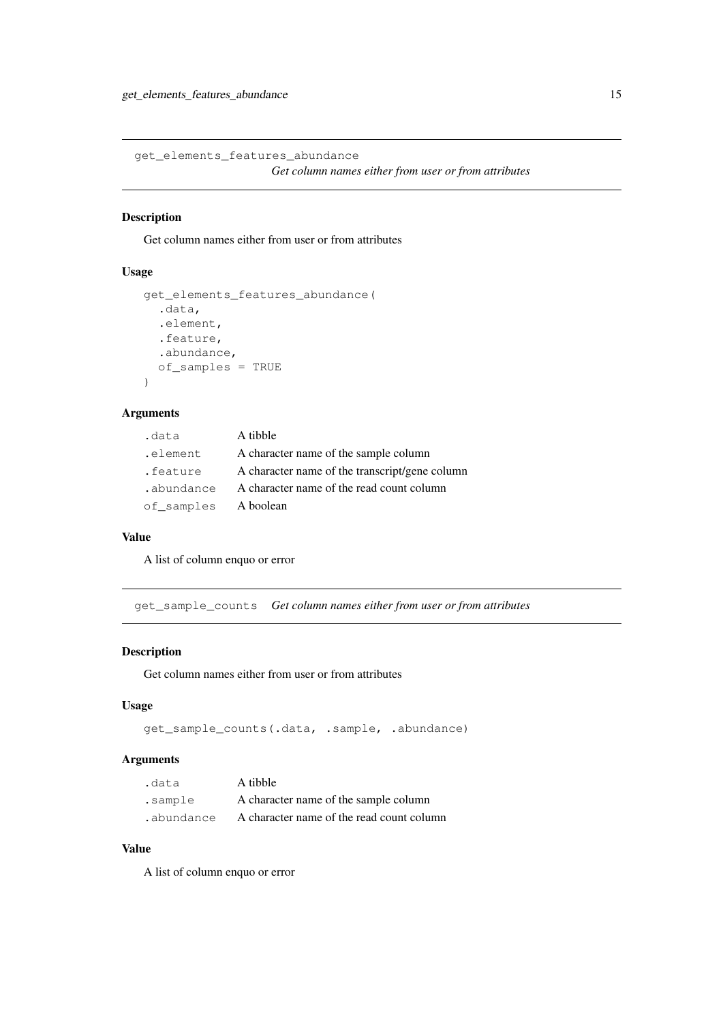```
get_elements_features_abundance
                       Get column names either from user or from attributes
```
Get column names either from user or from attributes

#### Usage

```
get_elements_features_abundance(
  .data,
  .element,
 .feature,
  .abundance,
 of_samples = TRUE
)
```
### Arguments

| .data      | A tibble                                       |
|------------|------------------------------------------------|
| .element   | A character name of the sample column          |
| .feature   | A character name of the transcript/gene column |
| .abundance | A character name of the read count column      |
| of samples | A boolean                                      |

#### Value

A list of column enquo or error

get\_sample\_counts *Get column names either from user or from attributes*

### Description

Get column names either from user or from attributes

### Usage

```
get_sample_counts(.data, .sample, .abundance)
```
### Arguments

| .data      | A tibble                                  |
|------------|-------------------------------------------|
| sample.    | A character name of the sample column     |
| .abundance | A character name of the read count column |

#### Value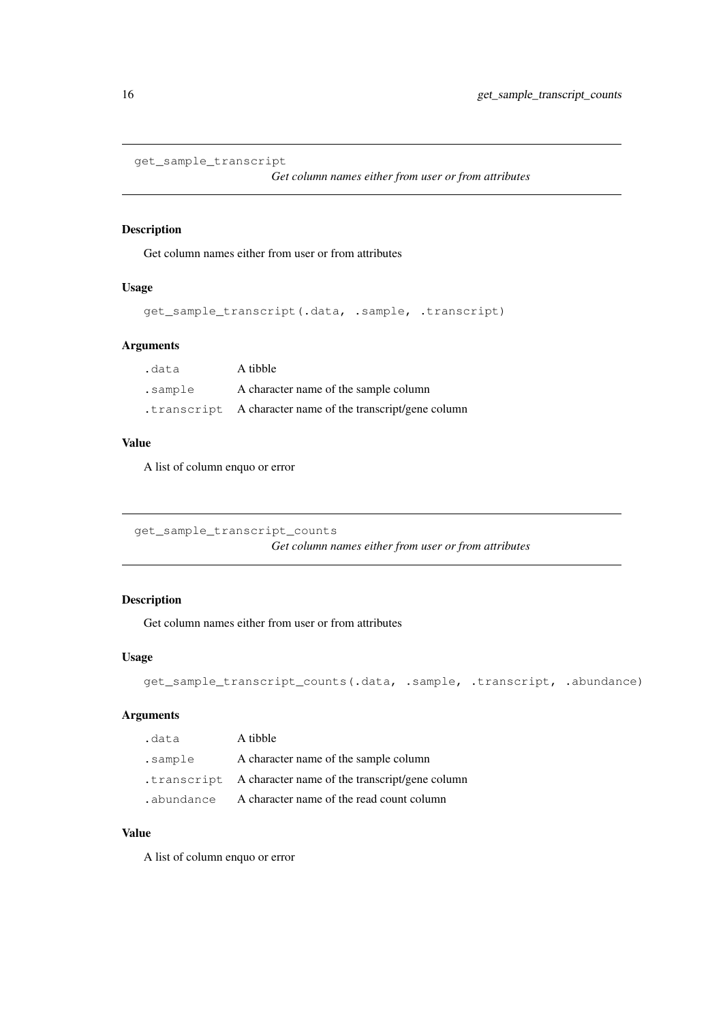```
get_sample_transcript
```
*Get column names either from user or from attributes*

### Description

Get column names either from user or from attributes

### Usage

```
get_sample_transcript(.data, .sample, .transcript)
```
### Arguments

| .data   | A tibble                                                   |
|---------|------------------------------------------------------------|
| sample. | A character name of the sample column                      |
|         | .transcript A character name of the transcript/gene column |

### Value

A list of column enquo or error

get\_sample\_transcript\_counts

*Get column names either from user or from attributes*

### Description

Get column names either from user or from attributes

### Usage

```
get_sample_transcript_counts(.data, .sample, .transcript, .abundance)
```
### Arguments

| .data   | A tibble                                                   |
|---------|------------------------------------------------------------|
| .sample | A character name of the sample column                      |
|         | .transcript A character name of the transcript/gene column |
|         | abundance A character name of the read count column        |

### Value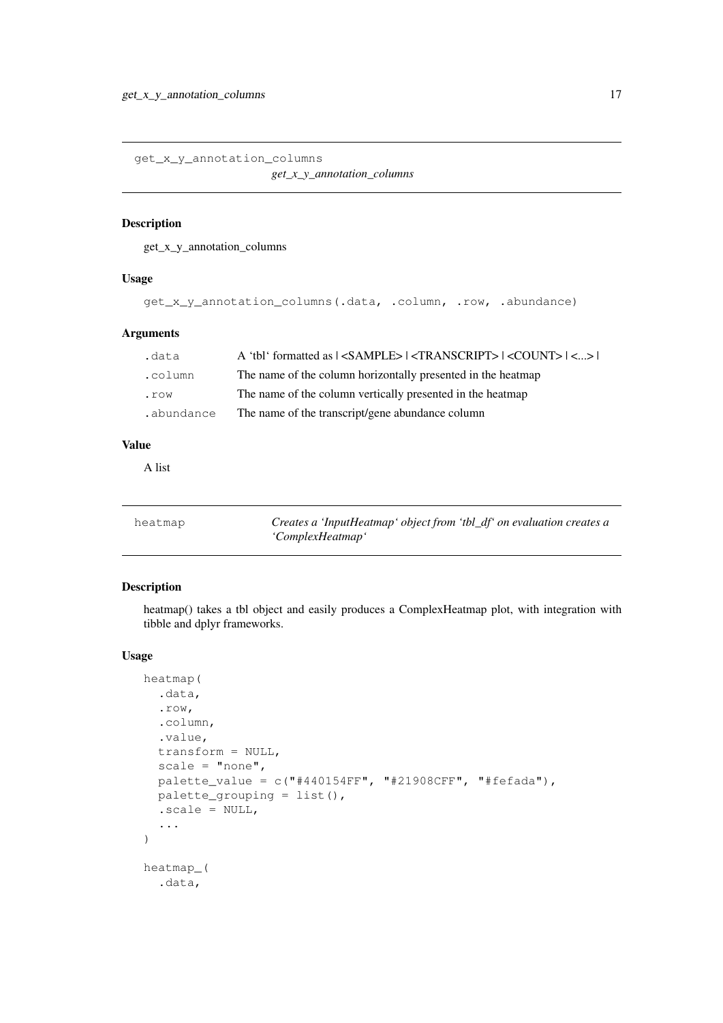<span id="page-16-0"></span>get\_x\_y\_annotation\_columns

*get\_x\_y\_annotation\_columns*

### Description

get\_x\_y\_annotation\_columns

### Usage

```
get_x_y_annotation_columns(.data, .column, .row, .abundance)
```
#### Arguments

| .data          | A 'tbl' formatted as $ $ <sample><math> </math> <transcript><math> </math> <count><math> </math> &lt;&gt;<math> </math></count></transcript></sample> |
|----------------|-------------------------------------------------------------------------------------------------------------------------------------------------------|
| .column        | The name of the column horizontally presented in the heatmap                                                                                          |
| $. \text{row}$ | The name of the column vertically presented in the heatmap                                                                                            |
| .abundance     | The name of the transcript/gene abundance column                                                                                                      |

### Value

A list

| heatmap | Creates a 'InputHeatmap' object from 'tbl_df' on evaluation creates a |
|---------|-----------------------------------------------------------------------|
|         | 'ComplexHeatmap'                                                      |

### Description

heatmap() takes a tbl object and easily produces a ComplexHeatmap plot, with integration with tibble and dplyr frameworks.

### Usage

```
heatmap(
  .data,
  .row,
  .column,
  .value,
  transform = NULL,
  scale = "none",palette_value = c("#440154FF", "#21908CFF", "#fefada");palette_grouping = list(),
  -scale = NULL,...
)
heatmap_(
  .data,
```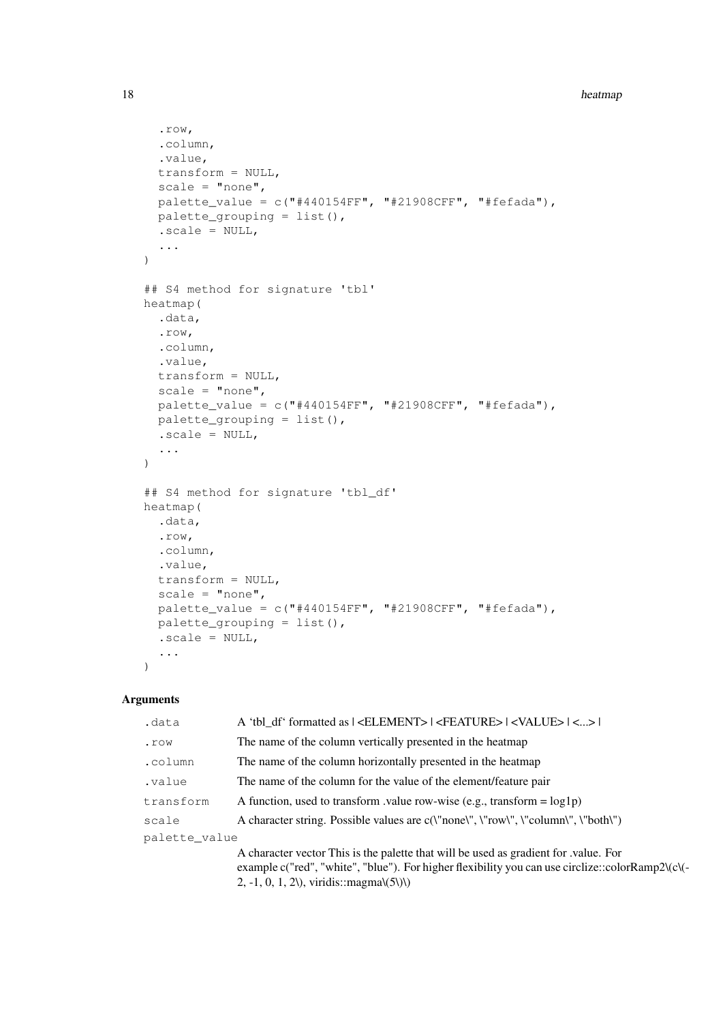```
.row,
  .column,
  .value,
 transform = NULL,
 scale = "none",
  palette_value = c("#440154FF", "#21908CFF", "#fefada"),
 palette_grouping = list(),
  -scale = NULL,...
)
## S4 method for signature 'tbl'
heatmap(
  .data,
  .row,
  .column,
  .value,
 transform = NULL,
 scale = "none",
 palette_value = c("#440154FF", "#21908CFF", "#fefada");palette_grouping = list(),
  .sizeale = NULL,...
)
## S4 method for signature 'tbl_df'
heatmap(
 .data,
 .row,
  .column,
  .value,
  transform = NULL,
  scale = "none",
 palette_value = c("#440154FF", "#21908CFF", "#fefada");palette_grouping = list(),
 .scale = NULL,
  ...
)
```
#### Arguments

| .data         | A 'tbl df' formatted as   <element>   <feature>   <value>   &lt;&gt;  </value></feature></element>                                                                                                                                                      |  |
|---------------|---------------------------------------------------------------------------------------------------------------------------------------------------------------------------------------------------------------------------------------------------------|--|
| . row         | The name of the column vertically presented in the heatmap                                                                                                                                                                                              |  |
| .column       | The name of the column horizontally presented in the heatmap                                                                                                                                                                                            |  |
| .value        | The name of the column for the value of the element/feature pair                                                                                                                                                                                        |  |
| transform     | A function, used to transform value row-wise (e.g., transform = $log1p$ )                                                                                                                                                                               |  |
| scale         | A character string. Possible values are c(\"none\", \"row\", \"column\", \"both\")                                                                                                                                                                      |  |
| palette value |                                                                                                                                                                                                                                                         |  |
|               | A character vector This is the palette that will be used as gradient for value. For<br>example c("red", "white", "blue"). For higher flexibility you can use circlize::colorRamp2\(c\(-<br>$2, -1, 0, 1, 2\lambda$ , viridis::magma $\langle 5 \rangle$ |  |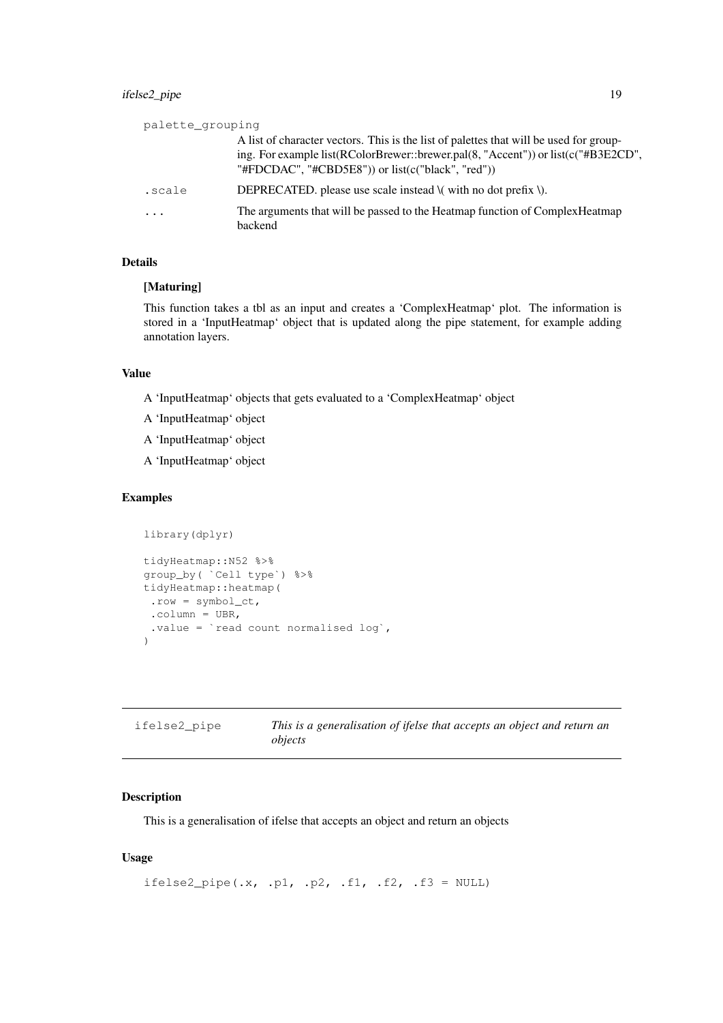<span id="page-18-0"></span>

| palette grouping |                                                                                                                                                                                                                                  |
|------------------|----------------------------------------------------------------------------------------------------------------------------------------------------------------------------------------------------------------------------------|
|                  | A list of character vectors. This is the list of palettes that will be used for group-<br>ing. For example list(RColorBrewer::brewer.pal(8, "Accent")) or list(c("#B3E2CD",<br>"#FDCDAC", "#CBD5E8")) or list(c("black", "red")) |
| .scale           | DEPRECATED, please use scale instead $\mathcal{N}$ with no dot prefix $\mathcal{N}$ .                                                                                                                                            |
| $\cdot$          | The arguments that will be passed to the Heatmap function of Complex Heatmap<br>backend                                                                                                                                          |

#### Details

### [Maturing]

This function takes a tbl as an input and creates a 'ComplexHeatmap' plot. The information is stored in a 'InputHeatmap' object that is updated along the pipe statement, for example adding annotation layers.

#### Value

- A 'InputHeatmap' objects that gets evaluated to a 'ComplexHeatmap' object
- A 'InputHeatmap' object
- A 'InputHeatmap' object
- A 'InputHeatmap' object

### Examples

```
library(dplyr)
tidyHeatmap::N52 %>%
group_by( `Cell type`) %>%
tidyHeatmap::heatmap(
 .row = symbol_c t,\text{column} = \text{UBR},.value = `read count normalised log`,
\lambda
```

| ifelse2 pipe | This is a generalisation of ifelse that accepts an object and return an |
|--------------|-------------------------------------------------------------------------|
|              | objects                                                                 |

### Description

This is a generalisation of ifelse that accepts an object and return an objects

### Usage

```
ifelse2_pipe(.x, .p1, .p2, .f1, .f2, .f3 = NULL)
```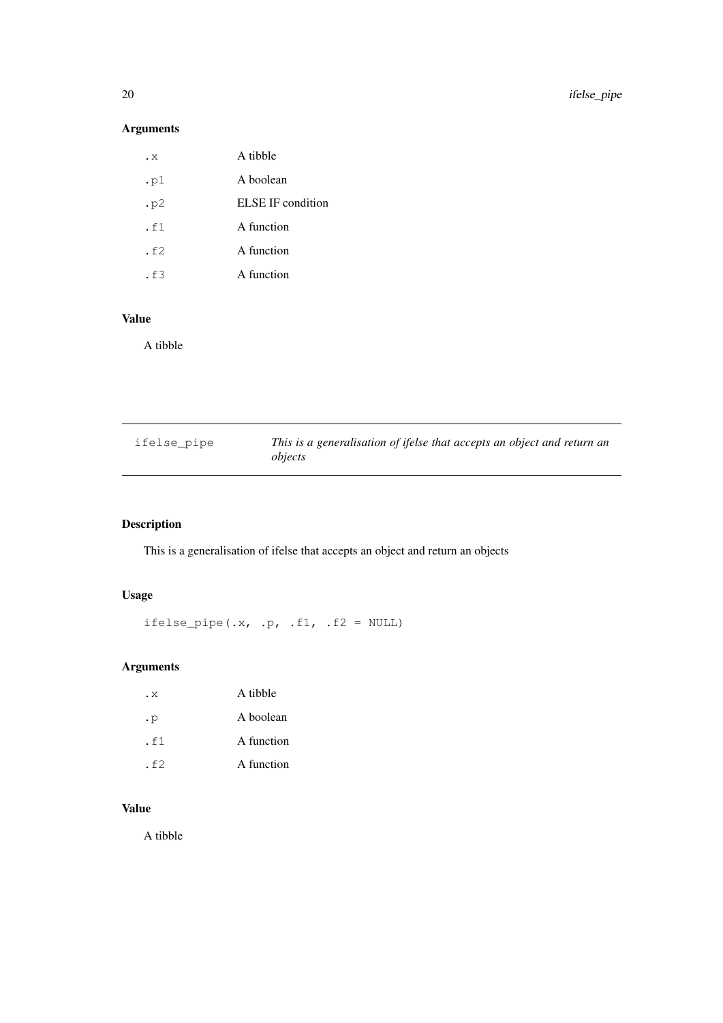### Arguments

| . x  | A tibble          |
|------|-------------------|
| .pl  | A boolean         |
| . p2 | ELSE IF condition |
| .f1  | A function        |
| .f2  | A function        |
| . f3 | A function        |
|      |                   |

### Value

A tibble

| ifelse pipe | This is a generalisation of ifelse that accepts an object and return an<br>objects |
|-------------|------------------------------------------------------------------------------------|
|             |                                                                                    |

### Description

This is a generalisation of ifelse that accepts an object and return an objects

### Usage

ifelse\_pipe(.x, .p, .f1, .f2 = NULL)

### Arguments

| .х        | A tibble   |
|-----------|------------|
| $\cdot$ p | A boolean  |
| .f1       | A function |
| . f2      | A function |

### Value

A tibble

<span id="page-19-0"></span>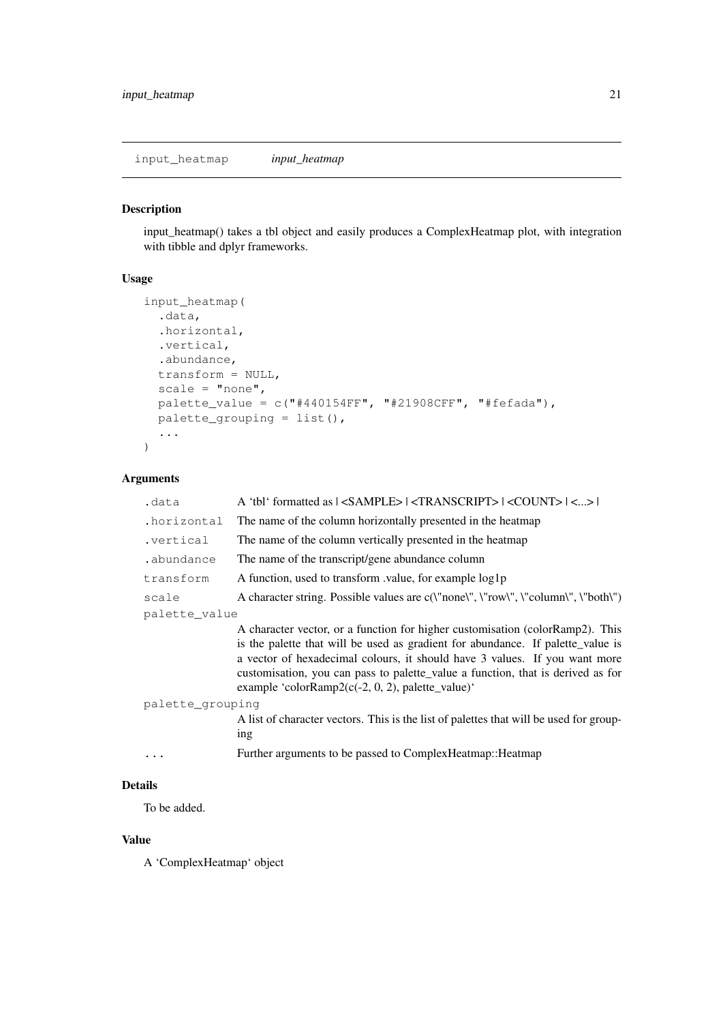<span id="page-20-0"></span>input\_heatmap *input\_heatmap*

### Description

input\_heatmap() takes a tbl object and easily produces a ComplexHeatmap plot, with integration with tibble and dplyr frameworks.

### Usage

```
input_heatmap(
 .data,
  .horizontal,
 .vertical,
  .abundance,
 transform = NULL,
 scale = "none",
 palette_value = c("#440154FF", "#21908CFF", "#fefada"),
 palette_grouping = list(),
  ...
)
```
### Arguments

| .data            | A 'tbl' formatted as $ $ <sample><math> </math> <transcript><math> </math> <count><math> </math> &lt;&gt;<math> </math></count></transcript></sample>                                                                                                                                                                                                                                             |  |
|------------------|---------------------------------------------------------------------------------------------------------------------------------------------------------------------------------------------------------------------------------------------------------------------------------------------------------------------------------------------------------------------------------------------------|--|
| .horizontal      | The name of the column horizontally presented in the heatmap                                                                                                                                                                                                                                                                                                                                      |  |
| .vertical        | The name of the column vertically presented in the heatmap                                                                                                                                                                                                                                                                                                                                        |  |
| .abundance       | The name of the transcript/gene abundance column                                                                                                                                                                                                                                                                                                                                                  |  |
| transform        | A function, used to transform value, for example log1p                                                                                                                                                                                                                                                                                                                                            |  |
| scale            | A character string. Possible values are c(\"none\", \"row\", \"column\", \"both\")                                                                                                                                                                                                                                                                                                                |  |
| palette value    |                                                                                                                                                                                                                                                                                                                                                                                                   |  |
|                  | A character vector, or a function for higher customisation (colorRamp2). This<br>is the palette that will be used as gradient for abundance. If palette_value is<br>a vector of hexadecimal colours, it should have 3 values. If you want more<br>customisation, you can pass to palette_value a function, that is derived as for<br>example 'color $\text{Ramp2}(c(-2, 0, 2))$ , palette_value)' |  |
| palette_grouping |                                                                                                                                                                                                                                                                                                                                                                                                   |  |
|                  | A list of character vectors. This is the list of palettes that will be used for group-<br>ing                                                                                                                                                                                                                                                                                                     |  |
|                  | Further arguments to be passed to ComplexHeatmap:: Heatmap                                                                                                                                                                                                                                                                                                                                        |  |

### Details

To be added.

### Value

A 'ComplexHeatmap' object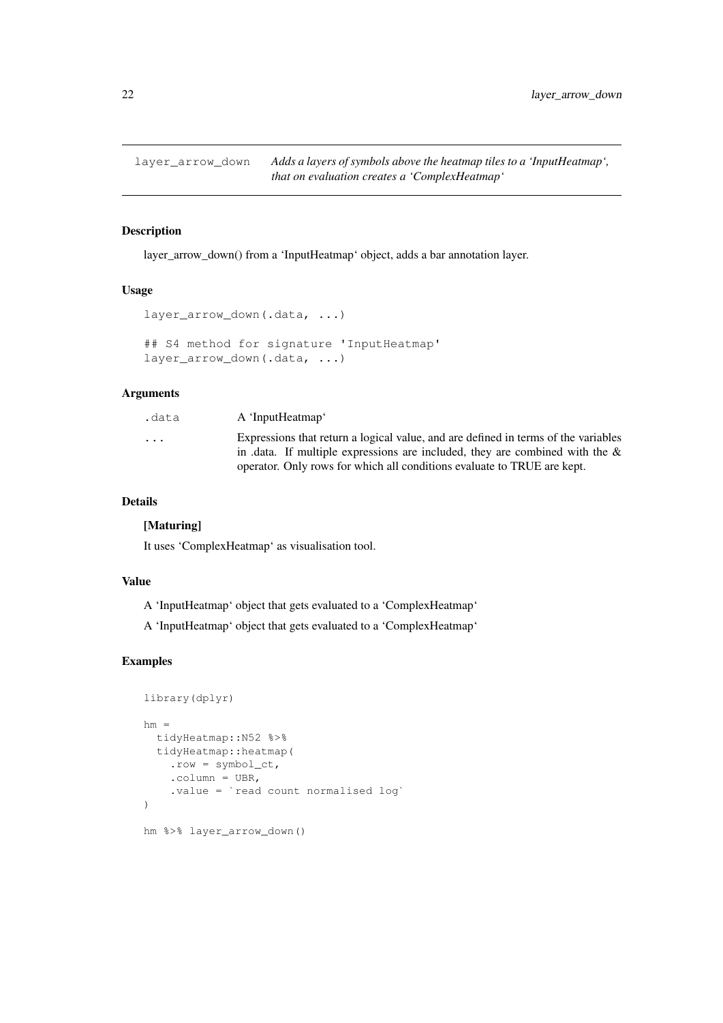<span id="page-21-0"></span>

layer\_arrow\_down() from a 'InputHeatmap' object, adds a bar annotation layer.

#### Usage

```
layer arrow down(.data, ...)
## S4 method for signature 'InputHeatmap'
layer_arrow_down(.data, ...)
```
### Arguments

| .data    | A 'InputHeatmap'                                                                   |
|----------|------------------------------------------------------------------------------------|
| $\cdots$ | Expressions that return a logical value, and are defined in terms of the variables |
|          | in .data. If multiple expressions are included, they are combined with the $\&$    |
|          | operator. Only rows for which all conditions evaluate to TRUE are kept.            |

### Details

#### [Maturing]

It uses 'ComplexHeatmap' as visualisation tool.

### Value

A 'InputHeatmap' object that gets evaluated to a 'ComplexHeatmap'

A 'InputHeatmap' object that gets evaluated to a 'ComplexHeatmap'

```
library(dplyr)
hm =tidyHeatmap::N52 %>%
 tidyHeatmap::heatmap(
    .row = symbol_ct,
    .column = UBR,
    .value = `read count normalised log`
)
hm %>% layer_arrow_down()
```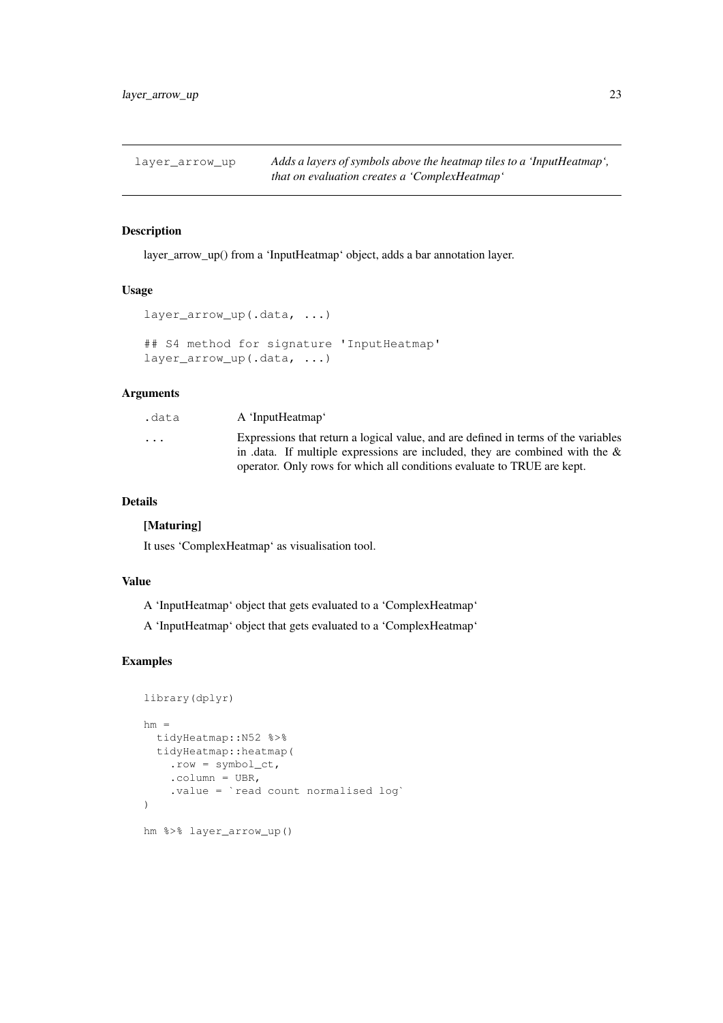<span id="page-22-0"></span>layer\_arrow\_up *Adds a layers of symbols above the heatmap tiles to a 'InputHeatmap', that on evaluation creates a 'ComplexHeatmap'*

#### Description

layer\_arrow\_up() from a 'InputHeatmap' object, adds a bar annotation layer.

### Usage

```
layer_arrow_up(.data, ...)
## S4 method for signature 'InputHeatmap'
layer_arrow_up(.data, ...)
```
### Arguments

| .data    | A 'InputHeatmap'                                                                   |
|----------|------------------------------------------------------------------------------------|
| $\cdots$ | Expressions that return a logical value, and are defined in terms of the variables |
|          | in .data. If multiple expressions are included, they are combined with the $\&$    |
|          | operator. Only rows for which all conditions evaluate to TRUE are kept.            |

### Details

#### [Maturing]

It uses 'ComplexHeatmap' as visualisation tool.

### Value

A 'InputHeatmap' object that gets evaluated to a 'ComplexHeatmap'

A 'InputHeatmap' object that gets evaluated to a 'ComplexHeatmap'

```
library(dplyr)
hm =tidyHeatmap::N52 %>%
  tidyHeatmap::heatmap(
    .row = symbol_ct,
    .column = UBR,
    .value = `read count normalised log`
)
hm %>% layer_arrow_up()
```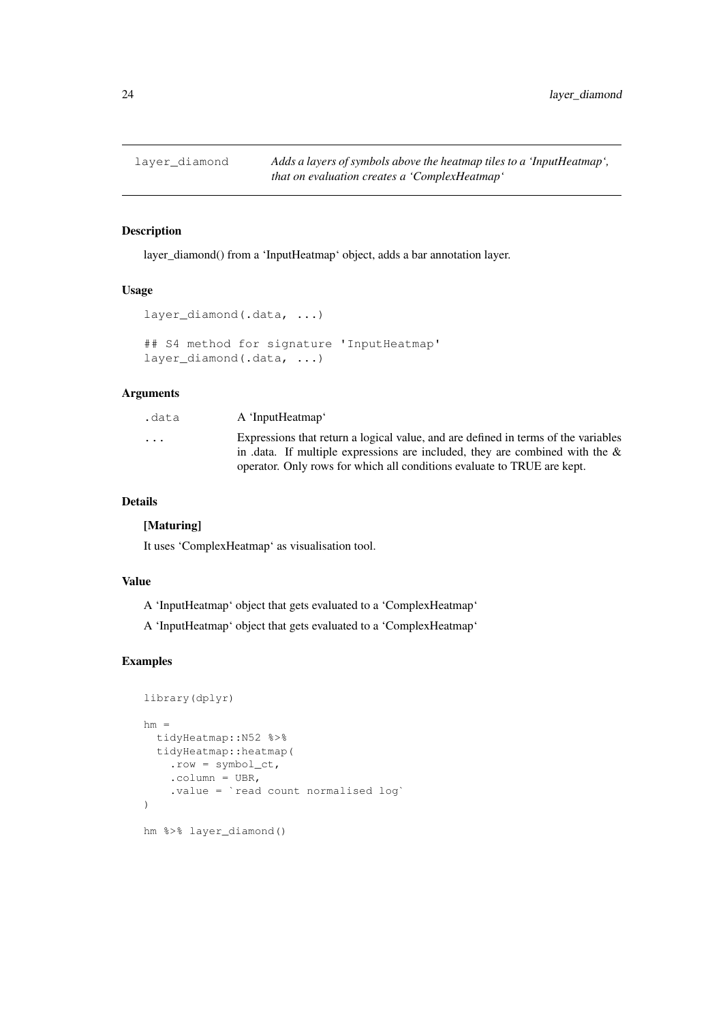<span id="page-23-0"></span>

layer\_diamond() from a 'InputHeatmap' object, adds a bar annotation layer.

#### Usage

```
layer diamond(.data, ...)
## S4 method for signature 'InputHeatmap'
layer_diamond(.data, ...)
```
### Arguments

| .data    | A 'InputHeatmap'                                                                   |
|----------|------------------------------------------------------------------------------------|
| $\cdots$ | Expressions that return a logical value, and are defined in terms of the variables |
|          | in .data. If multiple expressions are included, they are combined with the $\&$    |
|          | operator. Only rows for which all conditions evaluate to TRUE are kept.            |

### Details

#### [Maturing]

It uses 'ComplexHeatmap' as visualisation tool.

### Value

A 'InputHeatmap' object that gets evaluated to a 'ComplexHeatmap'

A 'InputHeatmap' object that gets evaluated to a 'ComplexHeatmap'

```
library(dplyr)
hm =tidyHeatmap::N52 %>%
 tidyHeatmap::heatmap(
    .row = symbol_ct,
    .column = UBR,
    .value = `read count normalised log`
)
hm %>% layer_diamond()
```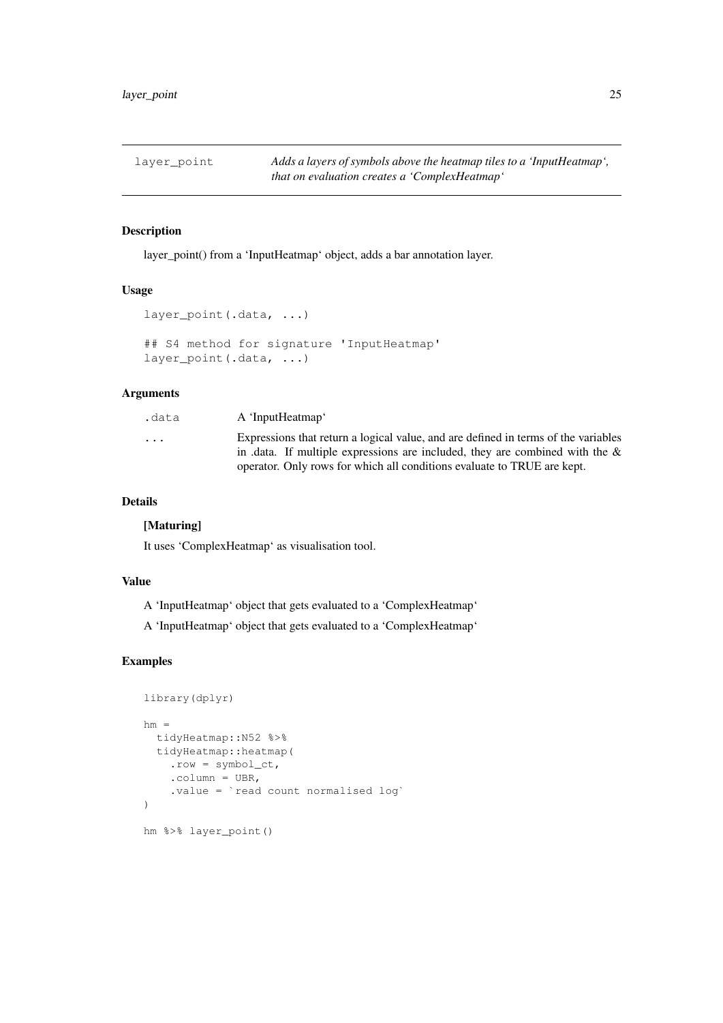<span id="page-24-0"></span>layer\_point *Adds a layers of symbols above the heatmap tiles to a 'InputHeatmap', that on evaluation creates a 'ComplexHeatmap'*

#### Description

layer\_point() from a 'InputHeatmap' object, adds a bar annotation layer.

#### Usage

```
layer point (.data, ...)
## S4 method for signature 'InputHeatmap'
layer_point(.data, ...)
```
### Arguments

| .data    | A 'InputHeatmap'                                                                   |
|----------|------------------------------------------------------------------------------------|
| $\cdots$ | Expressions that return a logical value, and are defined in terms of the variables |
|          | in .data. If multiple expressions are included, they are combined with the $\&$    |
|          | operator. Only rows for which all conditions evaluate to TRUE are kept.            |

### Details

#### [Maturing]

It uses 'ComplexHeatmap' as visualisation tool.

### Value

A 'InputHeatmap' object that gets evaluated to a 'ComplexHeatmap'

A 'InputHeatmap' object that gets evaluated to a 'ComplexHeatmap'

```
library(dplyr)
hm =tidyHeatmap::N52 %>%
  tidyHeatmap::heatmap(
    .row = symbol_ct,
    .column = UBR,
    .value = `read count normalised log`
)
hm %>% layer_point()
```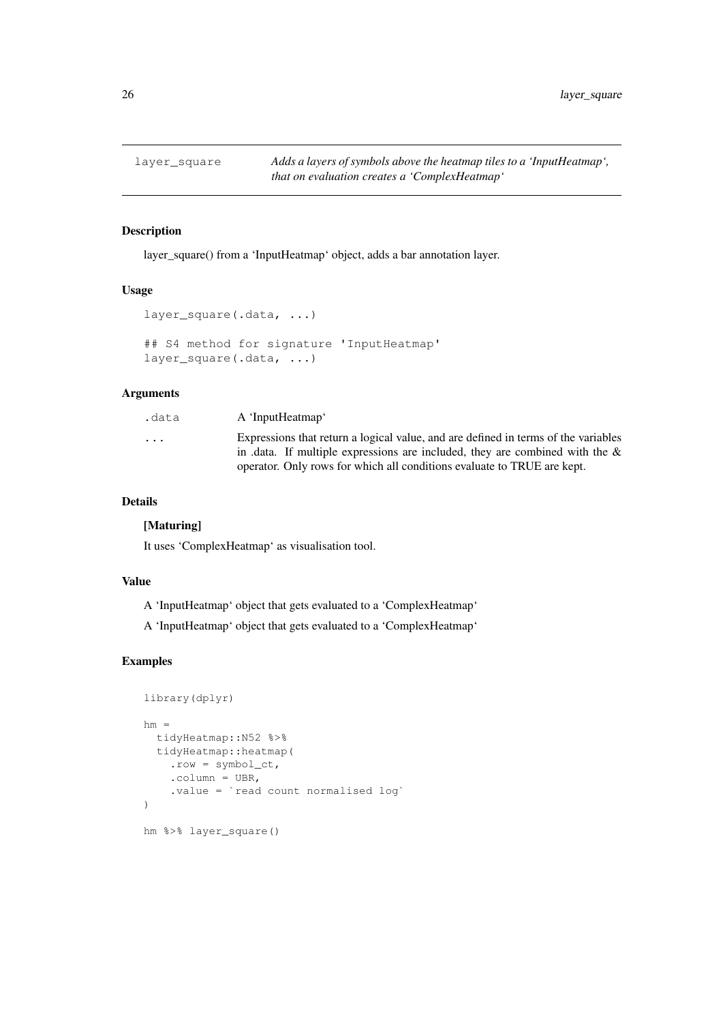<span id="page-25-0"></span>

layer\_square() from a 'InputHeatmap' object, adds a bar annotation layer.

#### Usage

```
layer_square(.data, ...)
## S4 method for signature 'InputHeatmap'
layer_square(.data, ...)
```
### Arguments

| .data    | A 'InputHeatmap'                                                                   |
|----------|------------------------------------------------------------------------------------|
| $\cdots$ | Expressions that return a logical value, and are defined in terms of the variables |
|          | in .data. If multiple expressions are included, they are combined with the $\&$    |
|          | operator. Only rows for which all conditions evaluate to TRUE are kept.            |

### Details

#### [Maturing]

It uses 'ComplexHeatmap' as visualisation tool.

### Value

A 'InputHeatmap' object that gets evaluated to a 'ComplexHeatmap'

A 'InputHeatmap' object that gets evaluated to a 'ComplexHeatmap'

```
library(dplyr)
hm =tidyHeatmap::N52 %>%
  tidyHeatmap::heatmap(
    .row = symbol_ct,
    .column = UBR,
    .value = `read count normalised log`
)
hm %>% layer_square()
```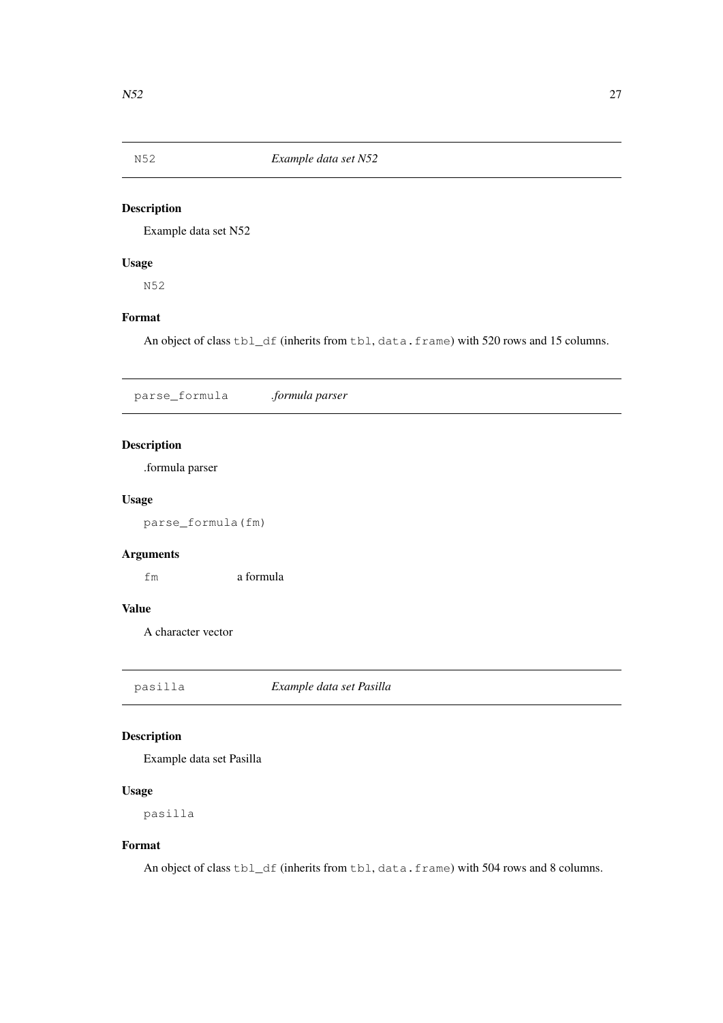<span id="page-26-0"></span>

Example data set N52

### Usage

N52

### Format

An object of class tbl\_df (inherits from tbl, data.frame) with 520 rows and 15 columns.

parse\_formula *.formula parser*

### Description

.formula parser

### Usage

parse\_formula(fm)

### Arguments

fm a formula

### Value

A character vector

pasilla *Example data set Pasilla*

### Description

Example data set Pasilla

### Usage

pasilla

### Format

An object of class tbl\_df (inherits from tbl, data.frame) with 504 rows and 8 columns.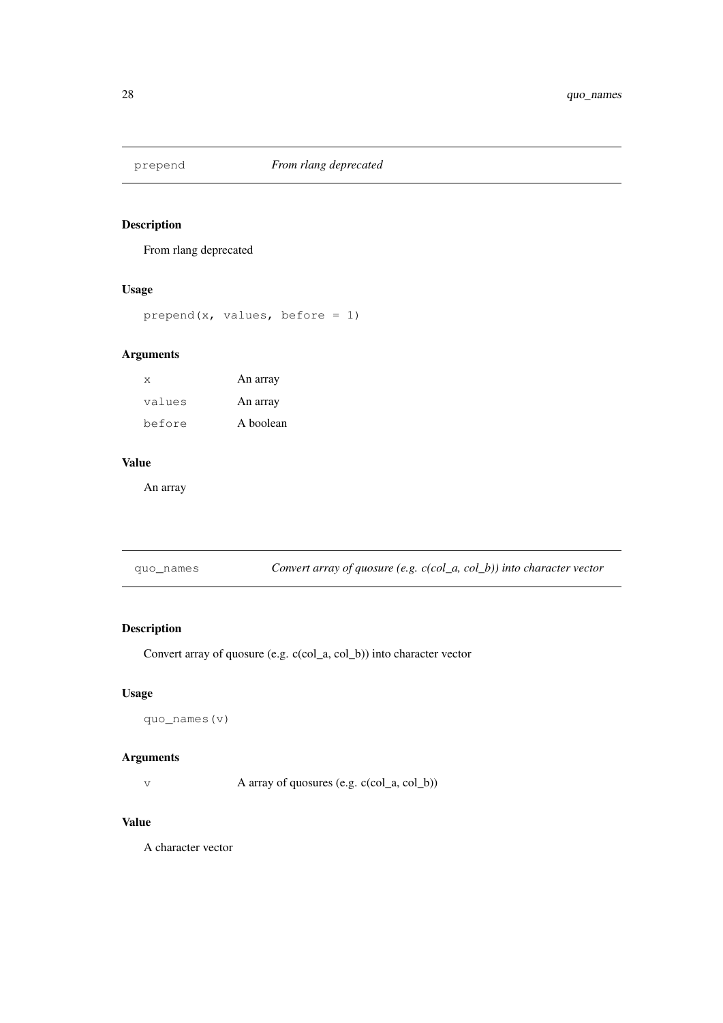<span id="page-27-0"></span>

From rlang deprecated

### Usage

```
prepend(x, values, before = 1)
```
### Arguments

| X      | An array  |
|--------|-----------|
| values | An array  |
| before | A boolean |

### Value

An array

| quo_names | Convert array of quosure (e.g. $c(col_a, col_b)$ ) into character vector |
|-----------|--------------------------------------------------------------------------|
|-----------|--------------------------------------------------------------------------|

### Description

Convert array of quosure (e.g. c(col\_a, col\_b)) into character vector

### Usage

quo\_names(v)

### Arguments

v A array of quosures (e.g. c(col\_a, col\_b))

### Value

A character vector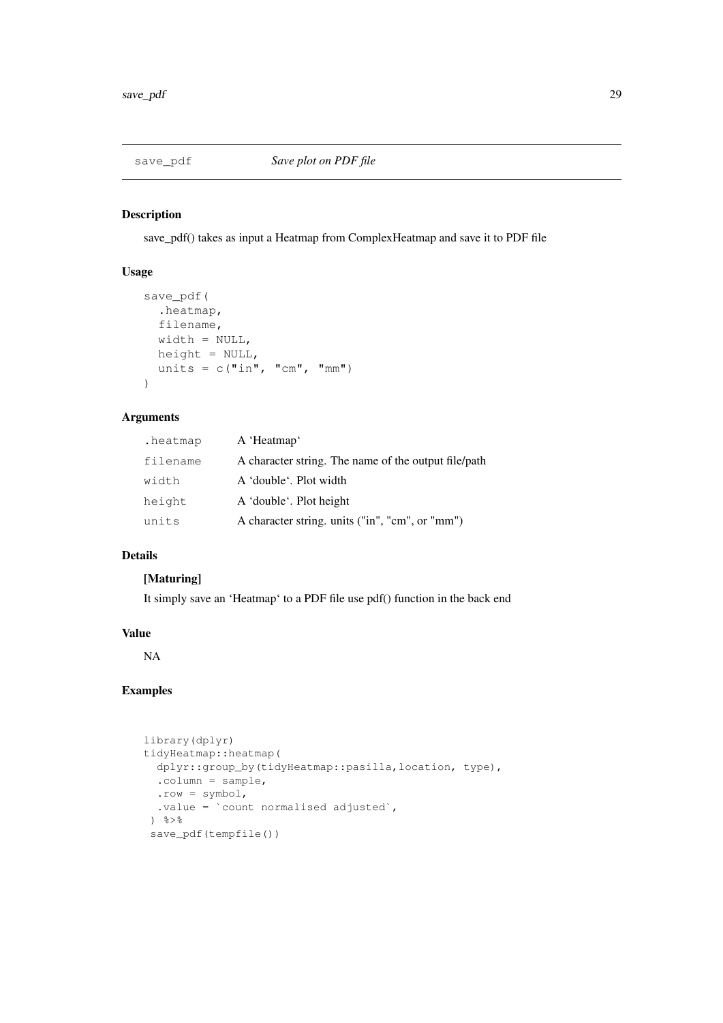<span id="page-28-0"></span>

save\_pdf() takes as input a Heatmap from ComplexHeatmap and save it to PDF file

### Usage

```
save_pdf(
  .heatmap,
 filename,
 width = NULL,
 height = NULL,
 units = c("in", "cm", "mm"))
```
### Arguments

| .heatmap | A 'Heatmap'                                          |
|----------|------------------------------------------------------|
| filename | A character string. The name of the output file/path |
| width    | A 'double'. Plot width                               |
| height   | A 'double'. Plot height                              |
| units    | A character string. units ("in", "cm", or "mm")      |

### Details

### [Maturing]

It simply save an 'Heatmap' to a PDF file use pdf() function in the back end

### Value

NA

```
library(dplyr)
tidyHeatmap::heatmap(
  dplyr::group_by(tidyHeatmap::pasilla,location, type),
  \text{column} = \text{sample}.row = symbol,
  .value = `count normalised adjusted`,
 \frac{6}{3}save_pdf(tempfile())
```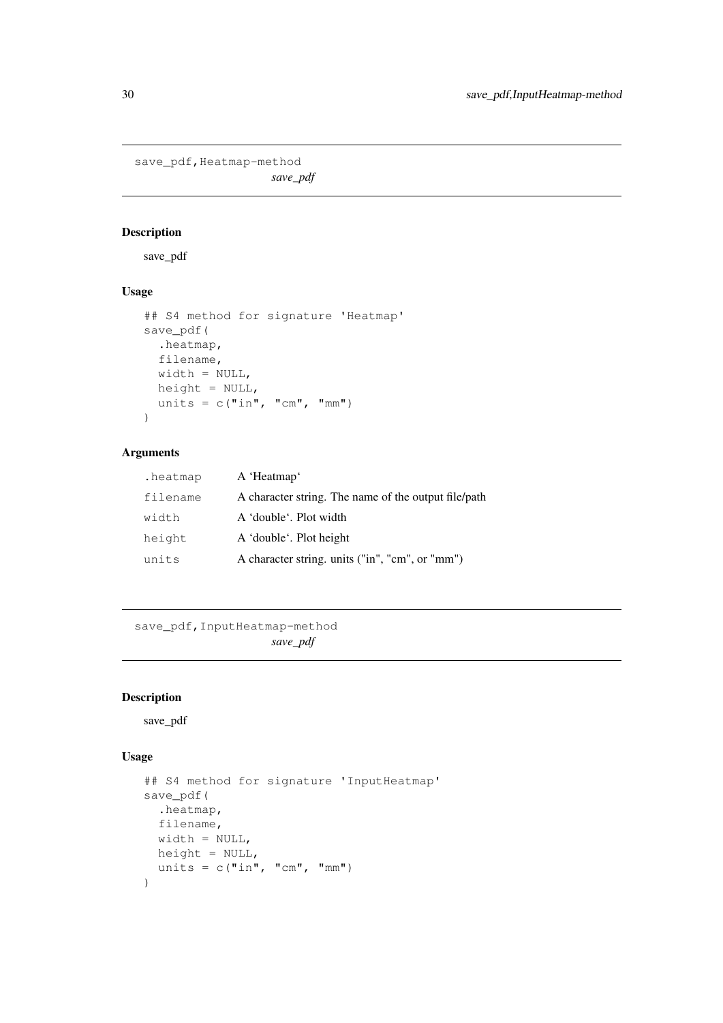<span id="page-29-0"></span>save\_pdf, Heatmap-method

*save\_pdf*

### Description

save\_pdf

### Usage

```
## S4 method for signature 'Heatmap'
save_pdf(
  .heatmap,
 filename,
 width = NULL,
 height = NULL,units = c("in", "cm", "mm"))
```
### Arguments

| .heatmap | A 'Heatmap'                                          |
|----------|------------------------------------------------------|
| filename | A character string. The name of the output file/path |
| width    | A 'double'. Plot width                               |
| height   | A 'double'. Plot height                              |
| units    | A character string. units ("in", "cm", or "mm")      |

```
save_pdf,InputHeatmap-method
                    save_pdf
```
### Description

save\_pdf

### Usage

```
## S4 method for signature 'InputHeatmap'
save_pdf(
  .heatmap,
 filename,
 width = NULL,
 height = NULL,
 units = c("in", "cm", "mm"))
```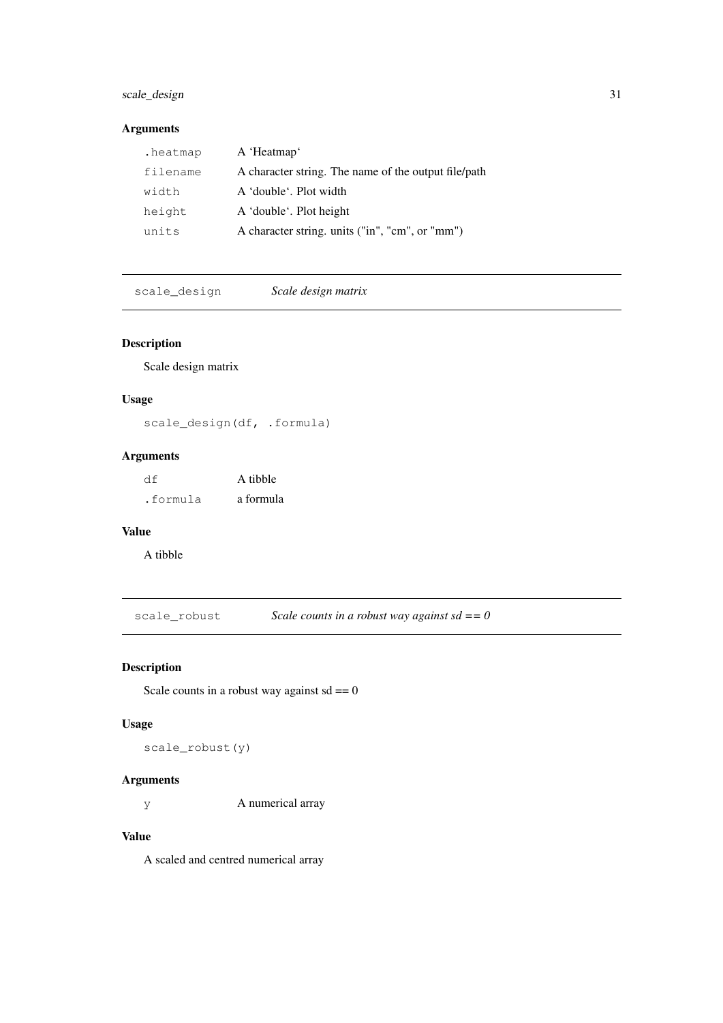### <span id="page-30-0"></span>scale\_design 31

### Arguments

| .heatmap | A 'Heatmap'                                          |
|----------|------------------------------------------------------|
| filename | A character string. The name of the output file/path |
| width    | A 'double'. Plot width                               |
| height   | A 'double'. Plot height                              |
| units    | A character string. units ("in", "cm", or "mm")      |

scale\_design *Scale design matrix*

### Description

Scale design matrix

### Usage

scale\_design(df, .formula)

### Arguments

| df       | A tibble  |  |
|----------|-----------|--|
| .formula | a formula |  |

### Value

A tibble

scale\_robust *Scale counts in a robust way against sd == 0*

### Description

Scale counts in a robust way against  $sd = 0$ 

### Usage

scale\_robust(y)

### Arguments

y A numerical array

### Value

A scaled and centred numerical array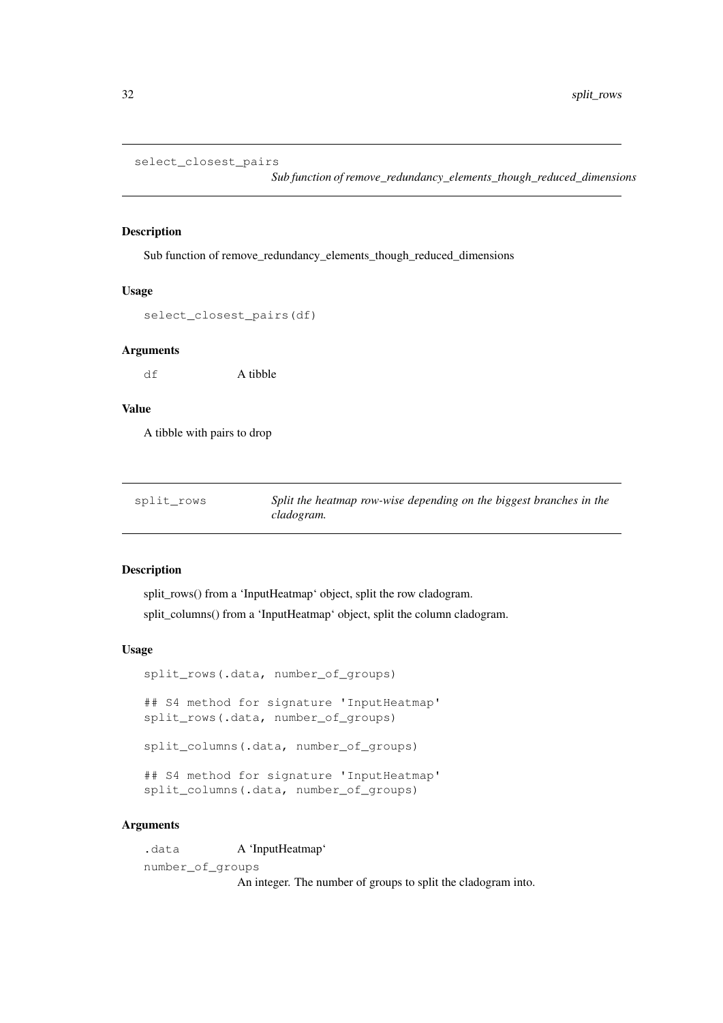```
select_closest_pairs
```
*Sub function of remove\_redundancy\_elements\_though\_reduced\_dimensions*

#### Description

Sub function of remove\_redundancy\_elements\_though\_reduced\_dimensions

#### Usage

```
select_closest_pairs(df)
```
#### Arguments

df A tibble

### Value

A tibble with pairs to drop

| split rows | Split the heatmap row-wise depending on the biggest branches in the |
|------------|---------------------------------------------------------------------|
|            | cladogram.                                                          |

#### Description

split\_rows() from a 'InputHeatmap' object, split the row cladogram.

split\_columns() from a 'InputHeatmap' object, split the column cladogram.

#### Usage

split\_rows(.data, number\_of\_groups) ## S4 method for signature 'InputHeatmap' split\_rows(.data, number\_of\_groups) split\_columns(.data, number\_of\_groups) ## S4 method for signature 'InputHeatmap' split\_columns(.data, number\_of\_groups)

#### Arguments

.data A 'InputHeatmap' number\_of\_groups

An integer. The number of groups to split the cladogram into.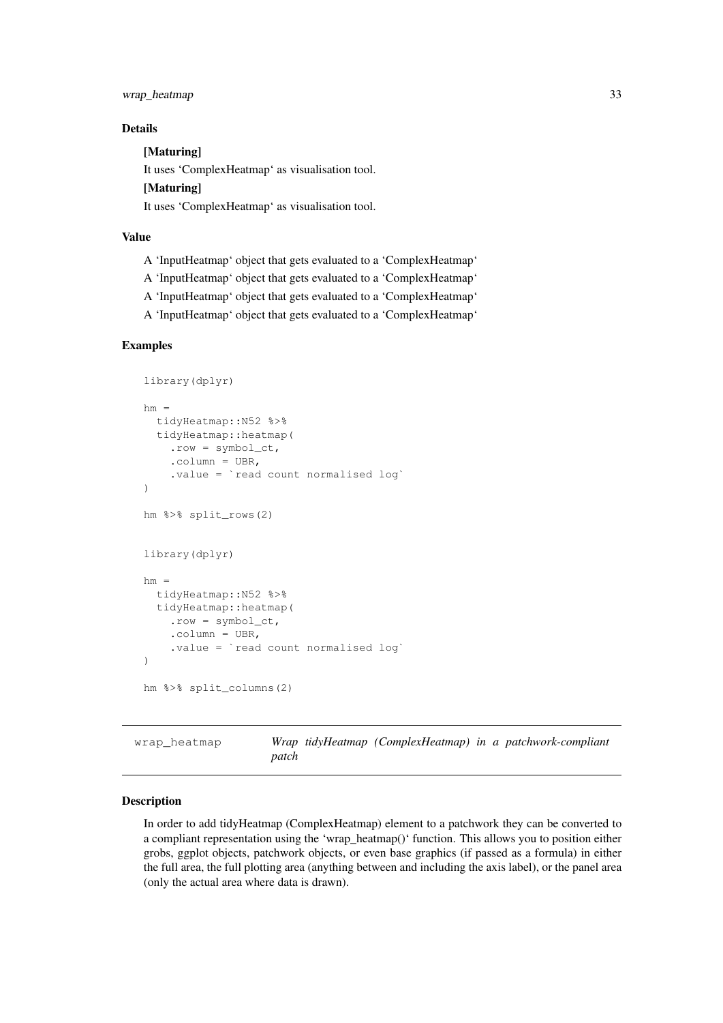<span id="page-32-0"></span>wrap\_heatmap 33

#### Details

[Maturing] It uses 'ComplexHeatmap' as visualisation tool. [Maturing] It uses 'ComplexHeatmap' as visualisation tool.

#### Value

- A 'InputHeatmap' object that gets evaluated to a 'ComplexHeatmap'
- A 'InputHeatmap' object that gets evaluated to a 'ComplexHeatmap'
- A 'InputHeatmap' object that gets evaluated to a 'ComplexHeatmap'
- A 'InputHeatmap' object that gets evaluated to a 'ComplexHeatmap'

#### Examples

```
library(dplyr)
hm =tidyHeatmap::N52 %>%
 tidyHeatmap::heatmap(
    .row = symbol_c t,.column = UBR.
    .value = `read count normalised log`
)
hm %>% split_rows(2)
library(dplyr)
hm =tidyHeatmap::N52 %>%
  tidyHeatmap::heatmap(
    row = symbol ct,
    .column = UBR,
    .value = `read count normalised log`
)
hm %>% split_columns(2)
```
wrap heatmap *Wrap tidyHeatmap (ComplexHeatmap) in a patchwork-compliant patch*

#### Description

In order to add tidyHeatmap (ComplexHeatmap) element to a patchwork they can be converted to a compliant representation using the 'wrap\_heatmap()' function. This allows you to position either grobs, ggplot objects, patchwork objects, or even base graphics (if passed as a formula) in either the full area, the full plotting area (anything between and including the axis label), or the panel area (only the actual area where data is drawn).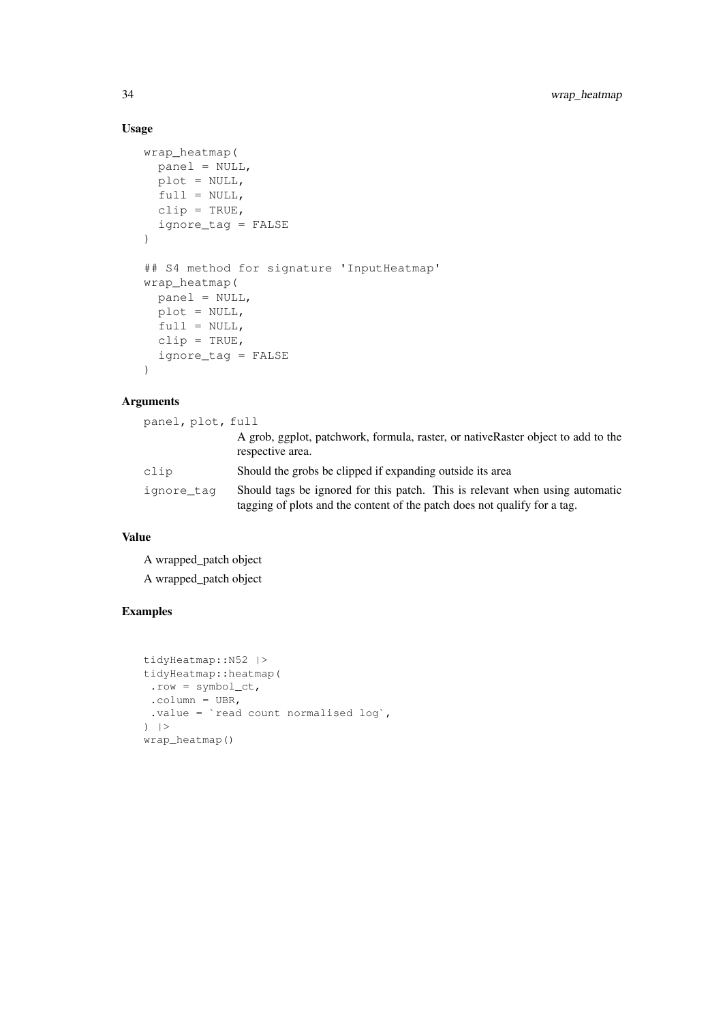### Usage

```
wrap_heatmap(
 panel = NULL,
 plot = NULL,
 full = NULL,clip = TRUE,
  ignore_tag = FALSE
)
## S4 method for signature 'InputHeatmap'
wrap_heatmap(
 panel = NULL,
 plot = NULL,
 full = NULL,clip = TRUE,
  ignore_tag = FALSE
)
```
### Arguments

| panel, plot, full |                                                                                                                                                           |
|-------------------|-----------------------------------------------------------------------------------------------------------------------------------------------------------|
|                   | A grob, ggplot, patchwork, formula, raster, or nativeRaster object to add to the<br>respective area.                                                      |
| clip              | Should the grobs be clipped if expanding outside its area                                                                                                 |
| ignore tag        | Should tags be ignored for this patch. This is relevant when using automatic<br>tagging of plots and the content of the patch does not qualify for a tag. |

### Value

A wrapped\_patch object A wrapped\_patch object

```
tidyHeatmap::N52 |>
tidyHeatmap::heatmap(
.row = symbol_ct,
.column = UBR,
.value = `read count normalised log`,
) |>wrap_heatmap()
```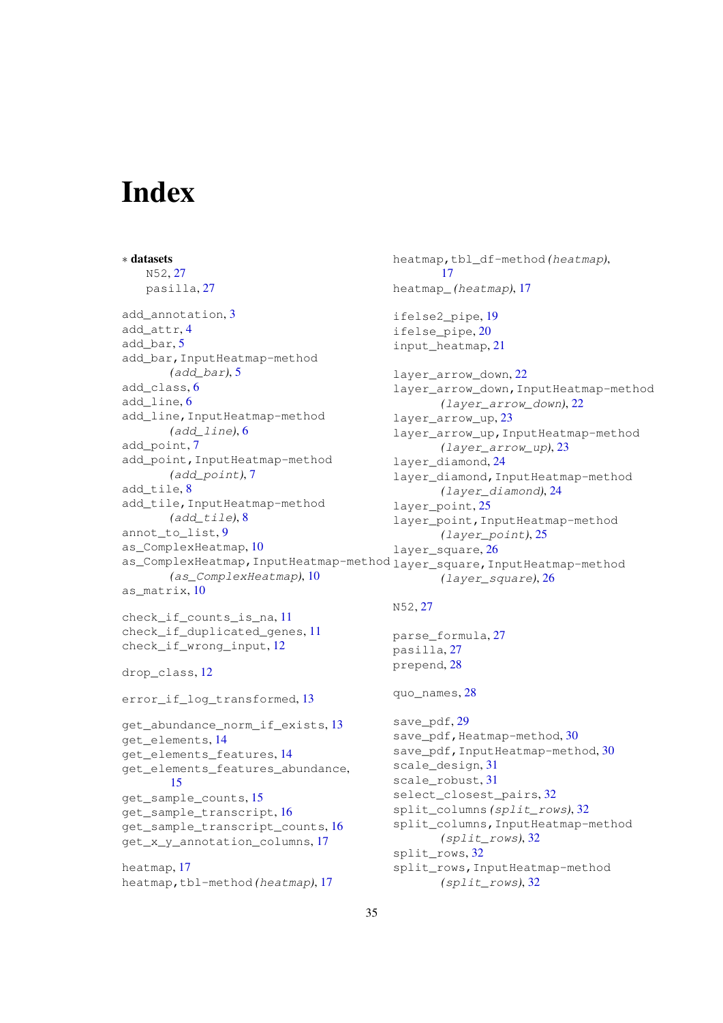# <span id="page-34-0"></span>Index

∗ datasets N52, [27](#page-26-0) pasilla, [27](#page-26-0) add\_annotation.[3](#page-2-0) add\_attr, [4](#page-3-0) add bar. [5](#page-4-0) add\_bar,InputHeatmap-method *(*add\_bar*)*, [5](#page-4-0) add\_class, [6](#page-5-0) add\_line, [6](#page-5-0) add\_line,InputHeatmap-method *(*add\_line*)*, [6](#page-5-0) add\_point, [7](#page-6-0) add point, InputHeatmap-method *(*add\_point*)*, [7](#page-6-0) add tile, [8](#page-7-0) add\_tile,InputHeatmap-method *(*add\_tile*)*, [8](#page-7-0) annot\_to\_list, [9](#page-8-0) as\_ComplexHeatmap, [10](#page-9-0) as\_ComplexHeatmap,InputHeatmap-method layer\_square,InputHeatmap-method *(*as\_ComplexHeatmap*)*, [10](#page-9-0) as matrix, [10](#page-9-0) check if counts is na, [11](#page-10-0) check if duplicated genes, [11](#page-10-0) check if wrong input, [12](#page-11-0) drop\_class, [12](#page-11-0) error if log transformed, [13](#page-12-0) get\_abundance\_norm\_if\_exists, [13](#page-12-0) get\_elements, [14](#page-13-0) get\_elements\_features, [14](#page-13-0) get\_elements\_features\_abundance, [15](#page-14-0) get\_sample\_counts, [15](#page-14-0) get\_sample\_transcript, [16](#page-15-0) get\_sample\_transcript\_counts, [16](#page-15-0) get\_x\_y\_annotation\_columns, [17](#page-16-0) heatmap, [17](#page-16-0) heatmap,tbl-method *(*heatmap*)*, [17](#page-16-0) heatmap,tbl\_df-method *(*heatmap*)*, [17](#page-16-0) heatmap\_ *(*heatmap*)*, [17](#page-16-0) ifelse2\_pipe, [19](#page-18-0) ifelse\_pipe, [20](#page-19-0) input\_heatmap, [21](#page-20-0) layer\_arrow\_down, [22](#page-21-0) layer\_arrow\_down,InputHeatmap-method *(*layer\_arrow\_down*)*, [22](#page-21-0) layer\_arrow\_up, [23](#page-22-0) layer\_arrow\_up,InputHeatmap-method *(*layer\_arrow\_up*)*, [23](#page-22-0) layer\_diamond, [24](#page-23-0) layer\_diamond, InputHeatmap-method *(*layer\_diamond*)*, [24](#page-23-0) layer point, [25](#page-24-0) layer\_point, InputHeatmap-method *(*layer\_point*)*, [25](#page-24-0) layer square, [26](#page-25-0) *(*layer\_square*)*, [26](#page-25-0) N52, [27](#page-26-0) parse\_formula, [27](#page-26-0) pasilla, [27](#page-26-0) prepend, [28](#page-27-0) quo\_names, [28](#page-27-0) save\_pdf, [29](#page-28-0) save\_pdf, Heatmap-method, [30](#page-29-0) save\_pdf, InputHeatmap-method, [30](#page-29-0) scale\_design, [31](#page-30-0) scale\_robust, [31](#page-30-0) select closest pairs, [32](#page-31-0) split\_columns *(*split\_rows*)*, [32](#page-31-0) split\_columns,InputHeatmap-method *(*split\_rows*)*, [32](#page-31-0) split\_rows, [32](#page-31-0) split\_rows,InputHeatmap-method *(*split\_rows*)*, [32](#page-31-0)